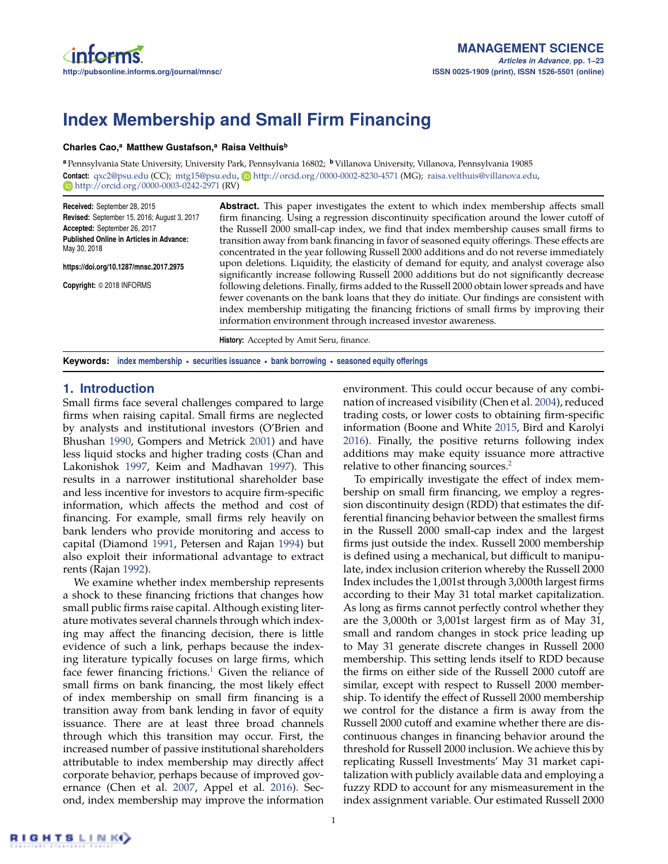# **Index Membership and Small Firm Financing**

#### **Charles Cao,<sup>a</sup> Matthew Gustafson,<sup>a</sup> Raisa Velthuis<sup>b</sup>**

**<sup>a</sup>** Pennsylvania State University, University Park, Pennsylvania 16802; **<sup>b</sup>** Villanova University, Villanova, Pennsylvania 19085 Contact: qxc2@psu.edu (CC); mtg15@psu.edu, D http://orcid.org/0000-0002-8230-4571 (MG); raisa.velthuis@villanova.edu, **b** http://orcid.org/0000-0003-0242-2971 (RV)

**Received:** September 28, 2015 **Revised:** September 15, 2016; August 3, 2017 **Accepted:** September 26, 2017 **Published Online in Articles in Advance:** May 30, 2018

**https://doi.org/10.1287/mnsc.2017.2975**

**Copyright:** © 2018 INFORMS

**Abstract.** This paper investigates the extent to which index membership affects small firm financing. Using a regression discontinuity specification around the lower cutoff of the Russell 2000 small-cap index, we find that index membership causes small firms to transition away from bank financing in favor of seasoned equity offerings. These effects are concentrated in the year following Russell 2000 additions and do not reverse immediately upon deletions. Liquidity, the elasticity of demand for equity, and analyst coverage also significantly increase following Russell 2000 additions but do not significantly decrease following deletions. Finally, firms added to the Russell 2000 obtain lower spreads and have fewer covenants on the bank loans that they do initiate. Our findings are consistent with index membership mitigating the financing frictions of small firms by improving their information environment through increased investor awareness.

**History:** Accepted by Amit Seru, finance.

**Keywords: index membership • securities issuance • bank borrowing • seasoned equity offerings**

## **1. Introduction**

Small firms face several challenges compared to large firms when raising capital. Small firms are neglected by analysts and institutional investors (O'Brien and Bhushan 1990, Gompers and Metrick 2001) and have less liquid stocks and higher trading costs (Chan and Lakonishok 1997, Keim and Madhavan 1997). This results in a narrower institutional shareholder base and less incentive for investors to acquire firm-specific information, which affects the method and cost of financing. For example, small firms rely heavily on bank lenders who provide monitoring and access to capital (Diamond 1991, Petersen and Rajan 1994) but also exploit their informational advantage to extract rents (Rajan 1992).

We examine whether index membership represents a shock to these financing frictions that changes how small public firms raise capital. Although existing literature motivates several channels through which indexing may affect the financing decision, there is little evidence of such a link, perhaps because the indexing literature typically focuses on large firms, which face fewer financing frictions.<sup>1</sup> Given the reliance of small firms on bank financing, the most likely effect of index membership on small firm financing is a transition away from bank lending in favor of equity issuance. There are at least three broad channels through which this transition may occur. First, the increased number of passive institutional shareholders attributable to index membership may directly affect corporate behavior, perhaps because of improved governance (Chen et al. 2007, Appel et al. 2016). Second, index membership may improve the information

environment. This could occur because of any combination of increased visibility (Chen et al. 2004), reduced trading costs, or lower costs to obtaining firm-specific information (Boone and White 2015, Bird and Karolyi 2016). Finally, the positive returns following index additions may make equity issuance more attractive relative to other financing sources.<sup>2</sup>

To empirically investigate the effect of index membership on small firm financing, we employ a regression discontinuity design (RDD) that estimates the differential financing behavior between the smallest firms in the Russell 2000 small-cap index and the largest firms just outside the index. Russell 2000 membership is defined using a mechanical, but difficult to manipulate, index inclusion criterion whereby the Russell 2000 Index includes the 1,001st through 3,000th largest firms according to their May 31 total market capitalization. As long as firms cannot perfectly control whether they are the 3,000th or 3,001st largest firm as of May 31, small and random changes in stock price leading up to May 31 generate discrete changes in Russell 2000 membership. This setting lends itself to RDD because the firms on either side of the Russell 2000 cutoff are similar, except with respect to Russell 2000 membership. To identify the effect of Russell 2000 membership we control for the distance a firm is away from the Russell 2000 cutoff and examine whether there are discontinuous changes in financing behavior around the threshold for Russell 2000 inclusion. We achieve this by replicating Russell Investments' May 31 market capitalization with publicly available data and employing a fuzzy RDD to account for any mismeasurement in the index assignment variable. Our estimated Russell 2000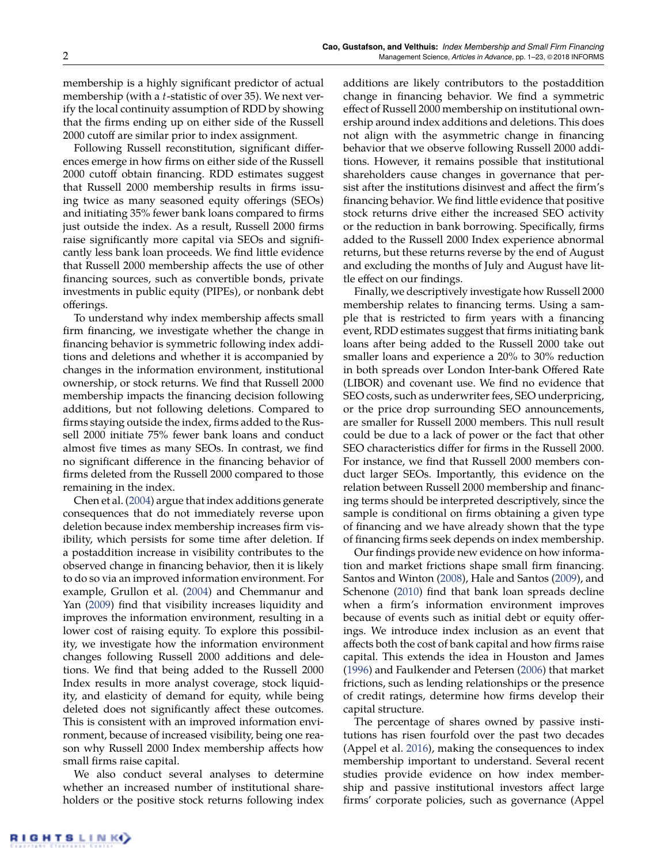membership is a highly significant predictor of actual membership (with a *t*-statistic of over 35). We next verify the local continuity assumption of RDD by showing that the firms ending up on either side of the Russell 2000 cutoff are similar prior to index assignment.

Following Russell reconstitution, significant differences emerge in how firms on either side of the Russell 2000 cutoff obtain financing. RDD estimates suggest that Russell 2000 membership results in firms issuing twice as many seasoned equity offerings (SEOs) and initiating 35% fewer bank loans compared to firms just outside the index. As a result, Russell 2000 firms raise significantly more capital via SEOs and significantly less bank loan proceeds. We find little evidence that Russell 2000 membership affects the use of other financing sources, such as convertible bonds, private investments in public equity (PIPEs), or nonbank debt offerings.

To understand why index membership affects small firm financing, we investigate whether the change in financing behavior is symmetric following index additions and deletions and whether it is accompanied by changes in the information environment, institutional ownership, or stock returns. We find that Russell 2000 membership impacts the financing decision following additions, but not following deletions. Compared to firms staying outside the index, firms added to the Russell 2000 initiate 75% fewer bank loans and conduct almost five times as many SEOs. In contrast, we find no significant difference in the financing behavior of firms deleted from the Russell 2000 compared to those remaining in the index.

Chen et al. (2004) argue that index additions generate consequences that do not immediately reverse upon deletion because index membership increases firm visibility, which persists for some time after deletion. If a postaddition increase in visibility contributes to the observed change in financing behavior, then it is likely to do so via an improved information environment. For example, Grullon et al. (2004) and Chemmanur and Yan (2009) find that visibility increases liquidity and improves the information environment, resulting in a lower cost of raising equity. To explore this possibility, we investigate how the information environment changes following Russell 2000 additions and deletions. We find that being added to the Russell 2000 Index results in more analyst coverage, stock liquidity, and elasticity of demand for equity, while being deleted does not significantly affect these outcomes. This is consistent with an improved information environment, because of increased visibility, being one reason why Russell 2000 Index membership affects how small firms raise capital.

We also conduct several analyses to determine whether an increased number of institutional shareholders or the positive stock returns following index additions are likely contributors to the postaddition change in financing behavior. We find a symmetric effect of Russell 2000 membership on institutional ownership around index additions and deletions. This does not align with the asymmetric change in financing behavior that we observe following Russell 2000 additions. However, it remains possible that institutional shareholders cause changes in governance that persist after the institutions disinvest and affect the firm's financing behavior. We find little evidence that positive stock returns drive either the increased SEO activity or the reduction in bank borrowing. Specifically, firms added to the Russell 2000 Index experience abnormal returns, but these returns reverse by the end of August and excluding the months of July and August have little effect on our findings.

Finally, we descriptively investigate how Russell 2000 membership relates to financing terms. Using a sample that is restricted to firm years with a financing event, RDD estimates suggest that firms initiating bank loans after being added to the Russell 2000 take out smaller loans and experience a 20% to 30% reduction in both spreads over London Inter-bank Offered Rate (LIBOR) and covenant use. We find no evidence that SEO costs, such as underwriter fees, SEO underpricing, or the price drop surrounding SEO announcements, are smaller for Russell 2000 members. This null result could be due to a lack of power or the fact that other SEO characteristics differ for firms in the Russell 2000. For instance, we find that Russell 2000 members conduct larger SEOs. Importantly, this evidence on the relation between Russell 2000 membership and financing terms should be interpreted descriptively, since the sample is conditional on firms obtaining a given type of financing and we have already shown that the type of financing firms seek depends on index membership.

Our findings provide new evidence on how information and market frictions shape small firm financing. Santos and Winton (2008), Hale and Santos (2009), and Schenone (2010) find that bank loan spreads decline when a firm's information environment improves because of events such as initial debt or equity offerings. We introduce index inclusion as an event that affects both the cost of bank capital and how firms raise capital. This extends the idea in Houston and James (1996) and Faulkender and Petersen (2006) that market frictions, such as lending relationships or the presence of credit ratings, determine how firms develop their capital structure.

The percentage of shares owned by passive institutions has risen fourfold over the past two decades (Appel et al. 2016), making the consequences to index membership important to understand. Several recent studies provide evidence on how index membership and passive institutional investors affect large firms' corporate policies, such as governance (Appel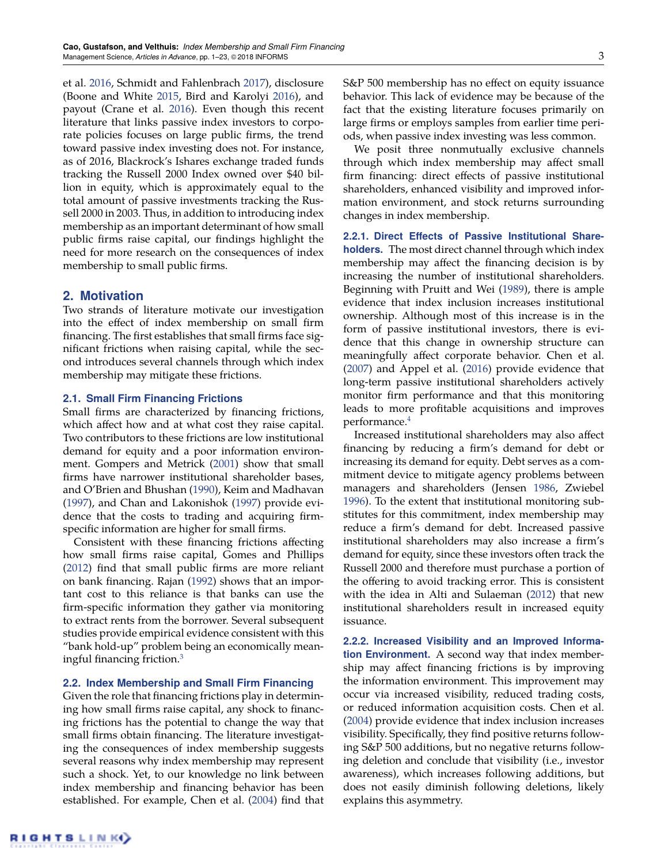et al. 2016, Schmidt and Fahlenbrach 2017), disclosure (Boone and White 2015, Bird and Karolyi 2016), and payout (Crane et al. 2016). Even though this recent literature that links passive index investors to corporate policies focuses on large public firms, the trend toward passive index investing does not. For instance, as of 2016, Blackrock's Ishares exchange traded funds tracking the Russell 2000 Index owned over \$40 billion in equity, which is approximately equal to the total amount of passive investments tracking the Russell 2000 in 2003. Thus, in addition to introducing index membership as an important determinant of how small public firms raise capital, our findings highlight the need for more research on the consequences of index

## **2. Motivation**

Two strands of literature motivate our investigation into the effect of index membership on small firm financing. The first establishes that small firms face significant frictions when raising capital, while the second introduces several channels through which index membership may mitigate these frictions.

#### **2.1. Small Firm Financing Frictions**

membership to small public firms.

Small firms are characterized by financing frictions, which affect how and at what cost they raise capital. Two contributors to these frictions are low institutional demand for equity and a poor information environment. Gompers and Metrick (2001) show that small firms have narrower institutional shareholder bases, and O'Brien and Bhushan (1990), Keim and Madhavan (1997), and Chan and Lakonishok (1997) provide evidence that the costs to trading and acquiring firmspecific information are higher for small firms.

Consistent with these financing frictions affecting how small firms raise capital, Gomes and Phillips (2012) find that small public firms are more reliant on bank financing. Rajan (1992) shows that an important cost to this reliance is that banks can use the firm-specific information they gather via monitoring to extract rents from the borrower. Several subsequent studies provide empirical evidence consistent with this "bank hold-up" problem being an economically meaningful financing friction.<sup>3</sup>

#### **2.2. Index Membership and Small Firm Financing**

Given the role that financing frictions play in determining how small firms raise capital, any shock to financing frictions has the potential to change the way that small firms obtain financing. The literature investigating the consequences of index membership suggests several reasons why index membership may represent such a shock. Yet, to our knowledge no link between index membership and financing behavior has been established. For example, Chen et al. (2004) find that S&P 500 membership has no effect on equity issuance behavior. This lack of evidence may be because of the fact that the existing literature focuses primarily on large firms or employs samples from earlier time periods, when passive index investing was less common.

We posit three nonmutually exclusive channels through which index membership may affect small firm financing: direct effects of passive institutional shareholders, enhanced visibility and improved information environment, and stock returns surrounding changes in index membership.

**2.2.1. Direct Effects of Passive Institutional Shareholders.** The most direct channel through which index membership may affect the financing decision is by increasing the number of institutional shareholders. Beginning with Pruitt and Wei (1989), there is ample evidence that index inclusion increases institutional ownership. Although most of this increase is in the form of passive institutional investors, there is evidence that this change in ownership structure can meaningfully affect corporate behavior. Chen et al. (2007) and Appel et al. (2016) provide evidence that long-term passive institutional shareholders actively monitor firm performance and that this monitoring leads to more profitable acquisitions and improves performance.<sup>4</sup>

Increased institutional shareholders may also affect financing by reducing a firm's demand for debt or increasing its demand for equity. Debt serves as a commitment device to mitigate agency problems between managers and shareholders (Jensen 1986, Zwiebel 1996). To the extent that institutional monitoring substitutes for this commitment, index membership may reduce a firm's demand for debt. Increased passive institutional shareholders may also increase a firm's demand for equity, since these investors often track the Russell 2000 and therefore must purchase a portion of the offering to avoid tracking error. This is consistent with the idea in Alti and Sulaeman (2012) that new institutional shareholders result in increased equity issuance.

**2.2.2. Increased Visibility and an Improved Information Environment.** A second way that index membership may affect financing frictions is by improving the information environment. This improvement may occur via increased visibility, reduced trading costs, or reduced information acquisition costs. Chen et al. (2004) provide evidence that index inclusion increases visibility. Specifically, they find positive returns following S&P 500 additions, but no negative returns following deletion and conclude that visibility (i.e., investor awareness), which increases following additions, but does not easily diminish following deletions, likely explains this asymmetry.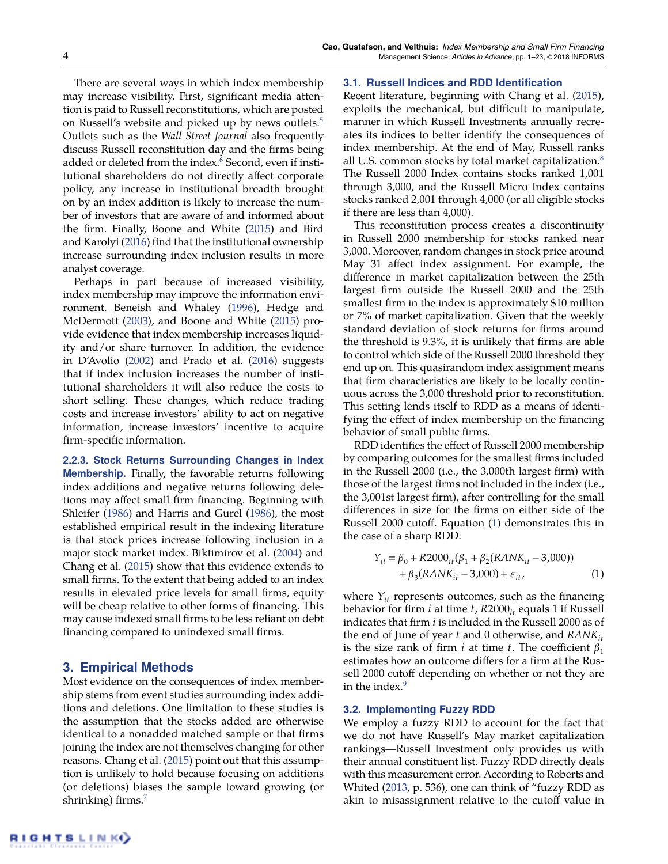There are several ways in which index membership may increase visibility. First, significant media attention is paid to Russell reconstitutions, which are posted on Russell's website and picked up by news outlets.<sup>5</sup> Outlets such as the *Wall Street Journal* also frequently discuss Russell reconstitution day and the firms being added or deleted from the index.<sup>6</sup> Second, even if institutional shareholders do not directly affect corporate policy, any increase in institutional breadth brought on by an index addition is likely to increase the number of investors that are aware of and informed about the firm. Finally, Boone and White (2015) and Bird and Karolyi (2016) find that the institutional ownership increase surrounding index inclusion results in more analyst coverage.

Perhaps in part because of increased visibility, index membership may improve the information environment. Beneish and Whaley (1996), Hedge and McDermott (2003), and Boone and White (2015) provide evidence that index membership increases liquidity and/or share turnover. In addition, the evidence in D'Avolio (2002) and Prado et al. (2016) suggests that if index inclusion increases the number of institutional shareholders it will also reduce the costs to short selling. These changes, which reduce trading costs and increase investors' ability to act on negative information, increase investors' incentive to acquire firm-specific information.

**2.2.3. Stock Returns Surrounding Changes in Index Membership.** Finally, the favorable returns following index additions and negative returns following deletions may affect small firm financing. Beginning with Shleifer (1986) and Harris and Gurel (1986), the most established empirical result in the indexing literature is that stock prices increase following inclusion in a major stock market index. Biktimirov et al. (2004) and Chang et al. (2015) show that this evidence extends to small firms. To the extent that being added to an index results in elevated price levels for small firms, equity will be cheap relative to other forms of financing. This may cause indexed small firms to be less reliant on debt financing compared to unindexed small firms.

## **3. Empirical Methods**

Most evidence on the consequences of index membership stems from event studies surrounding index additions and deletions. One limitation to these studies is the assumption that the stocks added are otherwise identical to a nonadded matched sample or that firms joining the index are not themselves changing for other reasons. Chang et al. (2015) point out that this assumption is unlikely to hold because focusing on additions (or deletions) biases the sample toward growing (or shrinking) firms.<sup>7</sup>

### **3.1. Russell Indices and RDD Identification**

Recent literature, beginning with Chang et al. (2015), exploits the mechanical, but difficult to manipulate, manner in which Russell Investments annually recreates its indices to better identify the consequences of index membership. At the end of May, Russell ranks all U.S. common stocks by total market capitalization.<sup>8</sup> The Russell 2000 Index contains stocks ranked 1,001 through 3,000, and the Russell Micro Index contains stocks ranked 2,001 through 4,000 (or all eligible stocks if there are less than 4,000).

This reconstitution process creates a discontinuity in Russell 2000 membership for stocks ranked near 3,000. Moreover, random changes in stock price around May 31 affect index assignment. For example, the difference in market capitalization between the 25th largest firm outside the Russell 2000 and the 25th smallest firm in the index is approximately \$10 million or 7% of market capitalization. Given that the weekly standard deviation of stock returns for firms around the threshold is 9.3%, it is unlikely that firms are able to control which side of the Russell 2000 threshold they end up on. This quasirandom index assignment means that firm characteristics are likely to be locally continuous across the 3,000 threshold prior to reconstitution. This setting lends itself to RDD as a means of identifying the effect of index membership on the financing behavior of small public firms.

RDD identifies the effect of Russell 2000 membership by comparing outcomes for the smallest firms included in the Russell 2000 (i.e., the 3,000th largest firm) with those of the largest firms not included in the index (i.e., the 3,001st largest firm), after controlling for the small differences in size for the firms on either side of the Russell 2000 cutoff. Equation (1) demonstrates this in the case of a sharp RDD:

$$
Y_{it} = \beta_0 + R2000_{it} (\beta_1 + \beta_2 (RANK_{it} - 3,000)) + \beta_3 (RANK_{it} - 3,000) + \varepsilon_{it},
$$
 (1)

where  $Y_{it}$  represents outcomes, such as the financing behavior for firm *i* at time *t*, *R*2000*it* equals 1 if Russell indicates that firm *i* is included in the Russell 2000 as of the end of June of year *t* and 0 otherwise, and *RANKit* is the size rank of firm *i* at time *t*. The coefficient  $\beta_1$ estimates how an outcome differs for a firm at the Russell 2000 cutoff depending on whether or not they are in the index. $9$ 

#### **3.2. Implementing Fuzzy RDD**

We employ a fuzzy RDD to account for the fact that we do not have Russell's May market capitalization rankings—Russell Investment only provides us with their annual constituent list. Fuzzy RDD directly deals with this measurement error. According to Roberts and Whited (2013, p. 536), one can think of "fuzzy RDD as akin to misassignment relative to the cutoff value in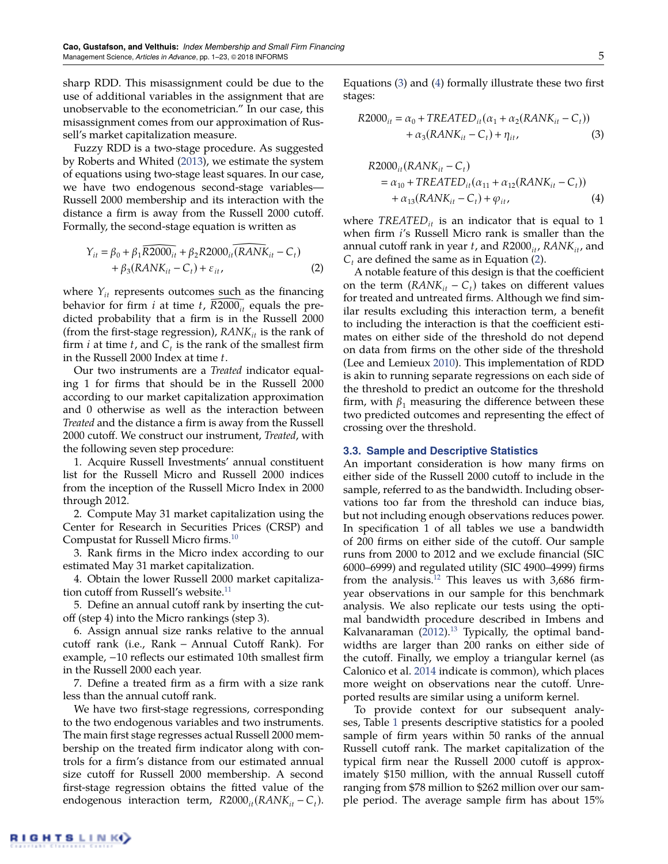sharp RDD. This misassignment could be due to the use of additional variables in the assignment that are unobservable to the econometrician." In our case, this misassignment comes from our approximation of Russell's market capitalization measure.

Fuzzy RDD is a two-stage procedure. As suggested by Roberts and Whited (2013), we estimate the system of equations using two-stage least squares. In our case, we have two endogenous second-stage variables— Russell 2000 membership and its interaction with the distance a firm is away from the Russell 2000 cutoff. Formally, the second-stage equation is written as

$$
Y_{it} = \beta_0 + \beta_1 \overline{R2000_{it}} + \beta_2 R2000_{it} \overline{(RANK_{it} - C_t)}
$$
  
+ 
$$
\beta_3 (RANK_{it} - C_t) + \varepsilon_{it}
$$
 (2)

where  $Y_{it}$  represents outcomes such as the financing behavior for firm  $i$  at time  $t$ ,  $R2000<sub>it</sub>$  equals the predicted probability that a firm is in the Russell 2000 (from the first-stage regression), *RANKit* is the rank of firm  $i$  at time  $t$ , and  $C<sub>t</sub>$  is the rank of the smallest firm in the Russell 2000 Index at time *t*.

Our two instruments are a *Treated* indicator equaling 1 for firms that should be in the Russell 2000 according to our market capitalization approximation and 0 otherwise as well as the interaction between *Treated* and the distance a firm is away from the Russell 2000 cutoff. We construct our instrument, *Treated*, with the following seven step procedure:

1. Acquire Russell Investments' annual constituent list for the Russell Micro and Russell 2000 indices from the inception of the Russell Micro Index in 2000 through 2012.

2. Compute May 31 market capitalization using the Center for Research in Securities Prices (CRSP) and Compustat for Russell Micro firms.<sup>10</sup>

3. Rank firms in the Micro index according to our estimated May 31 market capitalization.

4. Obtain the lower Russell 2000 market capitalization cutoff from Russell's website.<sup>11</sup>

5. Define an annual cutoff rank by inserting the cutoff (step 4) into the Micro rankings (step 3).

6. Assign annual size ranks relative to the annual cutoff rank (i.e., Rank − Annual Cutoff Rank). For example, −10 reflects our estimated 10th smallest firm in the Russell 2000 each year.

7. Define a treated firm as a firm with a size rank less than the annual cutoff rank.

We have two first-stage regressions, corresponding to the two endogenous variables and two instruments. The main first stage regresses actual Russell 2000 membership on the treated firm indicator along with controls for a firm's distance from our estimated annual size cutoff for Russell 2000 membership. A second first-stage regression obtains the fitted value of the endogenous interaction term,  $R2000_{it}(RANK_{it} - C_t)$ .

Equations (3) and (4) formally illustrate these two first stages:

$$
R2000_{it} = \alpha_0 + TREATED_{it}(\alpha_1 + \alpha_2(RANK_{it} - C_t))
$$
  
+  $\alpha_3(RANK_{it} - C_t) + \eta_{it}$ , (3)

$$
R2000_{it}(RANK_{it} - C_t)
$$
  
=  $\alpha_{10} + TREATED_{it}(\alpha_{11} + \alpha_{12}(RANK_{it} - C_t))$   
+  $\alpha_{13}(RANK_{it} - C_t) + \varphi_{it}$ , (4)

where *TREATED* $_{it}$  is an indicator that is equal to 1 when firm *i*'s Russell Micro rank is smaller than the annual cutoff rank in year *t*, and *R*2000*it*, *RANKit*, and  $C_t$  are defined the same as in Equation (2).

A notable feature of this design is that the coefficient on the term  $(RANK_{it} - C_t)$  takes on different values for treated and untreated firms. Although we find similar results excluding this interaction term, a benefit to including the interaction is that the coefficient estimates on either side of the threshold do not depend on data from firms on the other side of the threshold (Lee and Lemieux 2010). This implementation of RDD is akin to running separate regressions on each side of the threshold to predict an outcome for the threshold firm, with  $\beta_1$  measuring the difference between these two predicted outcomes and representing the effect of crossing over the threshold.

#### **3.3. Sample and Descriptive Statistics**

An important consideration is how many firms on either side of the Russell 2000 cutoff to include in the sample, referred to as the bandwidth. Including observations too far from the threshold can induce bias, but not including enough observations reduces power. In specification 1 of all tables we use a bandwidth of 200 firms on either side of the cutoff. Our sample runs from 2000 to 2012 and we exclude financial (SIC 6000–6999) and regulated utility (SIC 4900–4999) firms from the analysis.<sup>12</sup> This leaves us with 3,686 firmyear observations in our sample for this benchmark analysis. We also replicate our tests using the optimal bandwidth procedure described in Imbens and Kalvanaraman (2012).<sup>13</sup> Typically, the optimal bandwidths are larger than 200 ranks on either side of the cutoff. Finally, we employ a triangular kernel (as Calonico et al. 2014 indicate is common), which places more weight on observations near the cutoff. Unreported results are similar using a uniform kernel.

To provide context for our subsequent analyses, Table 1 presents descriptive statistics for a pooled sample of firm years within 50 ranks of the annual Russell cutoff rank. The market capitalization of the typical firm near the Russell 2000 cutoff is approximately \$150 million, with the annual Russell cutoff ranging from \$78 million to \$262 million over our sample period. The average sample firm has about 15%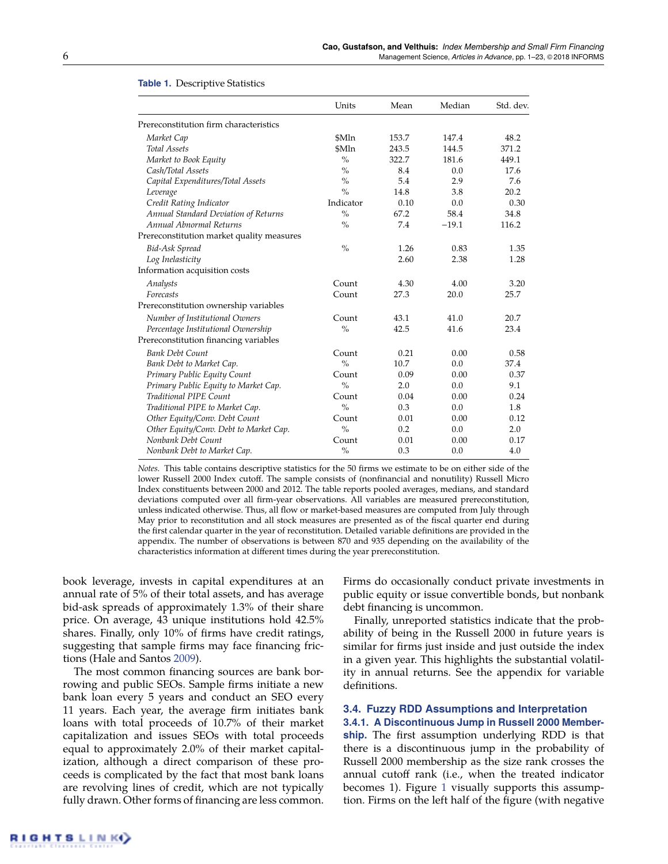#### **Table 1.** Descriptive Statistics

|                                           | Units         | Mean  | Median  | Std. dev. |
|-------------------------------------------|---------------|-------|---------|-----------|
| Prereconstitution firm characteristics    |               |       |         |           |
| Market Cap                                | \$Mln         | 153.7 | 147.4   | 48.2      |
| <b>Total Assets</b>                       | \$Mln         | 243.5 | 144.5   | 371.2     |
| Market to Book Equity                     | $\frac{0}{0}$ | 322.7 | 181.6   | 449.1     |
| Cash/Total Assets                         | $\frac{0}{0}$ | 8.4   | 0.0     | 17.6      |
| Capital Expenditures/Total Assets         | $\frac{0}{0}$ | 5.4   | 2.9     | 7.6       |
| Leverage                                  | $\frac{0}{0}$ | 14.8  | 3.8     | 20.2      |
| Credit Rating Indicator                   | Indicator     | 0.10  | 0.0     | 0.30      |
| Annual Standard Deviation of Returns      | $\frac{0}{0}$ | 67.2  | 58.4    | 34.8      |
| Annual Abnormal Returns                   | $\frac{0}{0}$ | 7.4   | $-19.1$ | 116.2     |
| Prereconstitution market quality measures |               |       |         |           |
| Bid-Ask Spread                            | $\frac{0}{0}$ | 1.26  | 0.83    | 1.35      |
| Log Inelasticity                          |               | 2.60  | 2.38    | 1.28      |
| Information acquisition costs             |               |       |         |           |
| Analysts                                  | Count         | 4.30  | 4.00    | 3.20      |
| Forecasts                                 | Count         | 27.3  | 20.0    | 25.7      |
| Prereconstitution ownership variables     |               |       |         |           |
| Number of Institutional Owners            | Count         | 43.1  | 41.0    | 20.7      |
| Percentage Institutional Ownership        | $\frac{0}{0}$ | 42.5  | 41.6    | 23.4      |
| Prereconstitution financing variables     |               |       |         |           |
| <b>Bank Debt Count</b>                    | Count         | 0.21  | 0.00    | 0.58      |
| Bank Debt to Market Cap.                  | $\frac{0}{0}$ | 10.7  | 0.0     | 37.4      |
| Primary Public Equity Count               | Count         | 0.09  | 0.00    | 0.37      |
| Primary Public Equity to Market Cap.      | $\frac{0}{0}$ | 2.0   | 0.0     | 9.1       |
| <b>Traditional PIPE Count</b>             | Count         | 0.04  | 0.00    | 0.24      |
| Traditional PIPE to Market Cap.           | $\frac{0}{0}$ | 0.3   | 0.0     | 1.8       |
| Other Equity/Conv. Debt Count             | Count         | 0.01  | 0.00    | 0.12      |
| Other Equity/Conv. Debt to Market Cap.    | $\frac{0}{0}$ | 0.2   | 0.0     | 2.0       |
| Nonbank Debt Count                        | Count         | 0.01  | 0.00    | 0.17      |
| Nonbank Debt to Market Cap.               | $\frac{0}{0}$ | 0.3   | 0.0     | 4.0       |

*Notes.* This table contains descriptive statistics for the 50 firms we estimate to be on either side of the lower Russell 2000 Index cutoff. The sample consists of (nonfinancial and nonutility) Russell Micro Index constituents between 2000 and 2012. The table reports pooled averages, medians, and standard deviations computed over all firm-year observations. All variables are measured prereconstitution, unless indicated otherwise. Thus, all flow or market-based measures are computed from July through May prior to reconstitution and all stock measures are presented as of the fiscal quarter end during the first calendar quarter in the year of reconstitution. Detailed variable definitions are provided in the appendix. The number of observations is between 870 and 935 depending on the availability of the characteristics information at different times during the year prereconstitution.

book leverage, invests in capital expenditures at an annual rate of 5% of their total assets, and has average bid-ask spreads of approximately 1.3% of their share price. On average, 43 unique institutions hold 42.5% shares. Finally, only 10% of firms have credit ratings, suggesting that sample firms may face financing frictions (Hale and Santos 2009).

The most common financing sources are bank borrowing and public SEOs. Sample firms initiate a new bank loan every 5 years and conduct an SEO every 11 years. Each year, the average firm initiates bank loans with total proceeds of 10.7% of their market capitalization and issues SEOs with total proceeds equal to approximately 2.0% of their market capitalization, although a direct comparison of these proceeds is complicated by the fact that most bank loans are revolving lines of credit, which are not typically fully drawn. Other forms of financing are less common.

Firms do occasionally conduct private investments in public equity or issue convertible bonds, but nonbank debt financing is uncommon.

Finally, unreported statistics indicate that the probability of being in the Russell 2000 in future years is similar for firms just inside and just outside the index in a given year. This highlights the substantial volatility in annual returns. See the appendix for variable definitions.

## **3.4. Fuzzy RDD Assumptions and Interpretation**

**3.4.1. A Discontinuous Jump in Russell 2000 Membership.** The first assumption underlying RDD is that there is a discontinuous jump in the probability of Russell 2000 membership as the size rank crosses the annual cutoff rank (i.e., when the treated indicator becomes 1). Figure 1 visually supports this assumption. Firms on the left half of the figure (with negative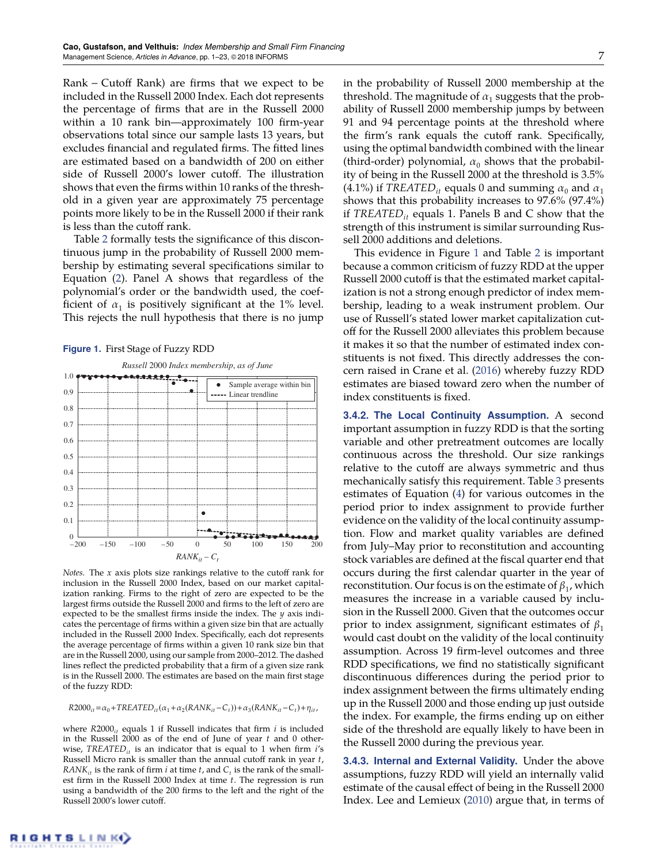Rank − Cutoff Rank) are firms that we expect to be included in the Russell 2000 Index. Each dot represents the percentage of firms that are in the Russell 2000 within a 10 rank bin—approximately 100 firm-year observations total since our sample lasts 13 years, but excludes financial and regulated firms. The fitted lines are estimated based on a bandwidth of 200 on either side of Russell 2000's lower cutoff. The illustration shows that even the firms within 10 ranks of the threshold in a given year are approximately 75 percentage points more likely to be in the Russell 2000 if their rank is less than the cutoff rank.

Table 2 formally tests the significance of this discontinuous jump in the probability of Russell 2000 membership by estimating several specifications similar to Equation (2). Panel A shows that regardless of the polynomial's order or the bandwidth used, the coefficient of  $\alpha_1$  is positively significant at the 1% level. This rejects the null hypothesis that there is no jump





*Notes.* The *x* axis plots size rankings relative to the cutoff rank for inclusion in the Russell 2000 Index, based on our market capitalization ranking. Firms to the right of zero are expected to be the largest firms outside the Russell 2000 and firms to the left of zero are expected to be the smallest firms inside the index. The *y* axis indicates the percentage of firms within a given size bin that are actually included in the Russell 2000 Index. Specifically, each dot represents the average percentage of firms within a given 10 rank size bin that are in the Russell 2000, using our sample from 2000–2012. The dashed lines reflect the predicted probability that a firm of a given size rank is in the Russell 2000. The estimates are based on the main first stage of the fuzzy RDD:

 $R2000_{it} = \alpha_0 + TREATED_{it}(\alpha_1 + \alpha_2 (RANK_{it} - C_t)) + \alpha_3 (RANK_{it} - C_t) + \eta_{it}$ 

where  $R2000<sub>i</sub>$  equals 1 if Russell indicates that firm *i* is included in the Russell 2000 as of the end of June of year *t* and 0 otherwise, *TREATEDit* is an indicator that is equal to 1 when firm *i*'s Russell Micro rank is smaller than the annual cutoff rank in year *t*,  $RANK_{it}$  is the rank of firm  $i$  at time  $t$ , and  $C_t$  is the rank of the smallest firm in the Russell 2000 Index at time *t*. The regression is run using a bandwidth of the 200 firms to the left and the right of the Russell 2000's lower cutoff.

in the probability of Russell 2000 membership at the threshold. The magnitude of  $\alpha_1$  suggests that the probability of Russell 2000 membership jumps by between 91 and 94 percentage points at the threshold where the firm's rank equals the cutoff rank. Specifically, using the optimal bandwidth combined with the linear (third-order) polynomial,  $\alpha_0$  shows that the probability of being in the Russell 2000 at the threshold is 3.5% (4.1%) if *TREATED*<sub>*it*</sub> equals 0 and summing  $\alpha_0$  and  $\alpha_1$ shows that this probability increases to 97.6% (97.4%) if *TREATEDit* equals 1. Panels B and C show that the strength of this instrument is similar surrounding Russell 2000 additions and deletions.

This evidence in Figure 1 and Table 2 is important because a common criticism of fuzzy RDD at the upper Russell 2000 cutoff is that the estimated market capitalization is not a strong enough predictor of index membership, leading to a weak instrument problem. Our use of Russell's stated lower market capitalization cutoff for the Russell 2000 alleviates this problem because it makes it so that the number of estimated index constituents is not fixed. This directly addresses the concern raised in Crane et al. (2016) whereby fuzzy RDD estimates are biased toward zero when the number of index constituents is fixed.

**3.4.2. The Local Continuity Assumption.** A second important assumption in fuzzy RDD is that the sorting variable and other pretreatment outcomes are locally continuous across the threshold. Our size rankings relative to the cutoff are always symmetric and thus mechanically satisfy this requirement. Table 3 presents estimates of Equation (4) for various outcomes in the period prior to index assignment to provide further evidence on the validity of the local continuity assumption. Flow and market quality variables are defined from July–May prior to reconstitution and accounting stock variables are defined at the fiscal quarter end that occurs during the first calendar quarter in the year of reconstitution. Our focus is on the estimate of  $\beta_1$ , which measures the increase in a variable caused by inclusion in the Russell 2000. Given that the outcomes occur prior to index assignment, significant estimates of  $\beta_1$ would cast doubt on the validity of the local continuity assumption. Across 19 firm-level outcomes and three RDD specifications, we find no statistically significant discontinuous differences during the period prior to index assignment between the firms ultimately ending up in the Russell 2000 and those ending up just outside the index. For example, the firms ending up on either side of the threshold are equally likely to have been in the Russell 2000 during the previous year.

**3.4.3. Internal and External Validity.** Under the above assumptions, fuzzy RDD will yield an internally valid estimate of the causal effect of being in the Russell 2000 Index. Lee and Lemieux (2010) argue that, in terms of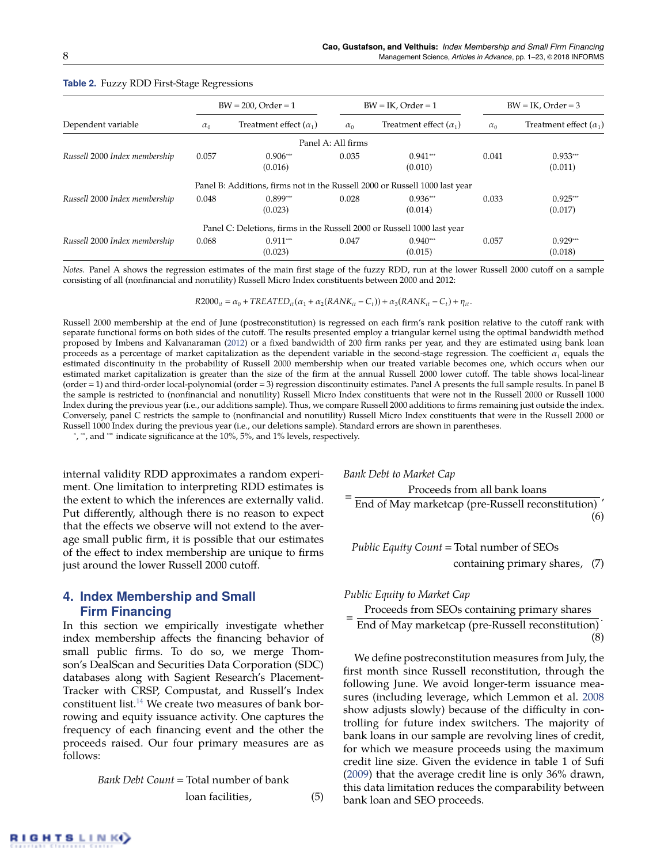|                               |                                             | $BW = 200$ . Order = 1                                                      |                    | $BW = IK$ , Order = 1         |       | $BW = IK$ , $Order = 3$       |  |
|-------------------------------|---------------------------------------------|-----------------------------------------------------------------------------|--------------------|-------------------------------|-------|-------------------------------|--|
| Dependent variable            | Treatment effect $(\alpha_1)$<br>$\alpha_0$ |                                                                             | $\alpha_0$         | Treatment effect $(\alpha_1)$ |       | Treatment effect $(\alpha_1)$ |  |
|                               |                                             |                                                                             | Panel A: All firms |                               |       |                               |  |
| Russell 2000 Index membership | 0.057                                       | $0.906***$<br>(0.016)                                                       | 0.035              | $0.941***$<br>(0.010)         | 0.041 | $0.933***$<br>(0.011)         |  |
|                               |                                             | Panel B: Additions, firms not in the Russell 2000 or Russell 1000 last year |                    |                               |       |                               |  |
| Russell 2000 Index membership | 0.048                                       | $0.899***$<br>(0.023)                                                       | 0.028              | $0.936***$<br>(0.014)         | 0.033 | $0.925***$<br>(0.017)         |  |
|                               |                                             | Panel C: Deletions, firms in the Russell 2000 or Russell 1000 last year     |                    |                               |       |                               |  |
| Russell 2000 Index membership | 0.068                                       | $0.911***$<br>(0.023)                                                       | 0.047              | $0.940***$<br>(0.015)         | 0.057 | $0.929***$<br>(0.018)         |  |

#### **Table 2.** Fuzzy RDD First-Stage Regressions

*Notes.* Panel A shows the regression estimates of the main first stage of the fuzzy RDD, run at the lower Russell 2000 cutoff on a sample consisting of all (nonfinancial and nonutility) Russell Micro Index constituents between 2000 and 2012:

 $R2000_{it} = \alpha_0 + TREATED_{it}(\alpha_1 + \alpha_2 (RANK_{it} - C_t)) + \alpha_3 (RANK_{it} - C_t) + \eta_{it}$ .

Russell 2000 membership at the end of June (postreconstitution) is regressed on each firm's rank position relative to the cutoff rank with separate functional forms on both sides of the cutoff. The results presented employ a triangular kernel using the optimal bandwidth method proposed by Imbens and Kalvanaraman (2012) or a fixed bandwidth of 200 firm ranks per year, and they are estimated using bank loan proceeds as a percentage of market capitalization as the dependent variable in the second-stage regression. The coefficient  $\alpha_1$  equals the estimated discontinuity in the probability of Russell 2000 membership when our treated variable becomes one, which occurs when our estimated market capitalization is greater than the size of the firm at the annual Russell 2000 lower cutoff. The table shows local-linear (order 1) and third-order local-polynomial (order 3) regression discontinuity estimates. Panel A presents the full sample results. In panel B the sample is restricted to (nonfinancial and nonutility) Russell Micro Index constituents that were not in the Russell 2000 or Russell 1000 Index during the previous year (i.e., our additions sample). Thus, we compare Russell 2000 additions to firms remaining just outside the index. Conversely, panel C restricts the sample to (nonfinancial and nonutility) Russell Micro Index constituents that were in the Russell 2000 or Russell 1000 Index during the previous year (i.e., our deletions sample). Standard errors are shown in parentheses.

∗ , ∗∗, and ∗∗∗ indicate significance at the 10%, 5%, and 1% levels, respectively.

internal validity RDD approximates a random experiment. One limitation to interpreting RDD estimates is the extent to which the inferences are externally valid. Put differently, although there is no reason to expect that the effects we observe will not extend to the average small public firm, it is possible that our estimates of the effect to index membership are unique to firms just around the lower Russell 2000 cutoff.

## **4. Index Membership and Small Firm Financing**

In this section we empirically investigate whether index membership affects the financing behavior of small public firms. To do so, we merge Thomson's DealScan and Securities Data Corporation (SDC) databases along with Sagient Research's Placement-Tracker with CRSP, Compustat, and Russell's Index constituent list.<sup>14</sup> We create two measures of bank borrowing and equity issuance activity. One captures the frequency of each financing event and the other the proceeds raised. Our four primary measures are as follows:

*Bank Debt Count* Total number of bank

loan facilities, (5)

**Bank** *Debt to Market Cap*

\n
$$
= \frac{\text{Proceeds from all bank loans}}{\text{End of May marketcap (pre-Russell reconstruction)}},
$$
\n(6)

*Public Equity Count* Total number of SEOs containing primary shares, (7)

*Public Equity to Market Cap*  $=$ Proceeds from SEOs containing primary shares End of May marketcap (pre-Russell reconstitution).

(8)

We define postreconstitution measures from July, the first month since Russell reconstitution, through the following June. We avoid longer-term issuance measures (including leverage, which Lemmon et al. 2008 show adjusts slowly) because of the difficulty in controlling for future index switchers. The majority of bank loans in our sample are revolving lines of credit, for which we measure proceeds using the maximum credit line size. Given the evidence in table 1 of Sufi (2009) that the average credit line is only 36% drawn, this data limitation reduces the comparability between bank loan and SEO proceeds.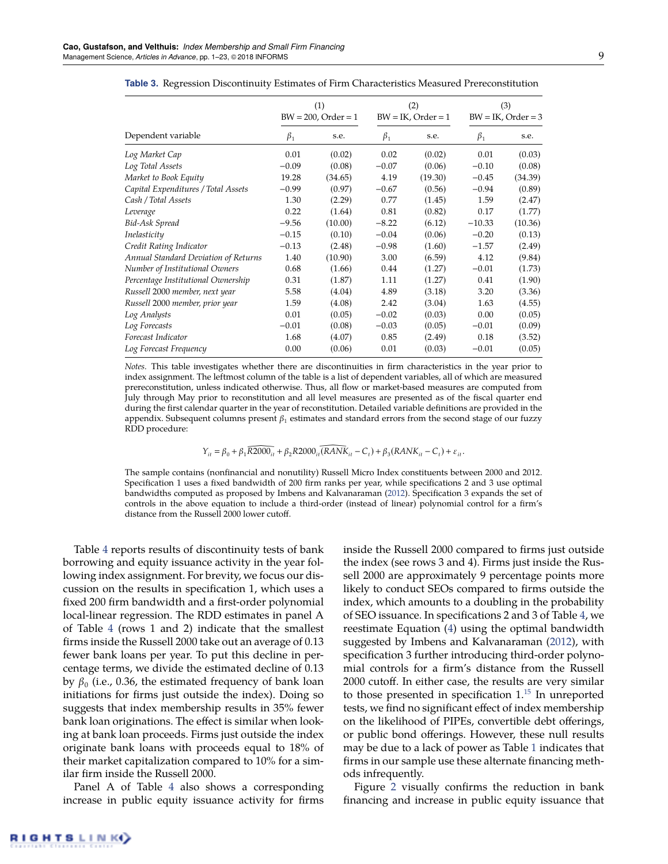|                                      |           | (1)<br>$BW = 200$ , $Order = 1$ |           | (2)<br>$BW = IK$ , $Order = 1$ |           | (3)<br>$BW = IK$ , Order = 3 |
|--------------------------------------|-----------|---------------------------------|-----------|--------------------------------|-----------|------------------------------|
| Dependent variable                   | $\beta_1$ | s.e.                            | $\beta_1$ | s.e.                           | $\beta_1$ | s.e.                         |
| Log Market Cap                       | 0.01      | (0.02)                          | 0.02      | (0.02)                         | 0.01      | (0.03)                       |
| Log Total Assets                     | $-0.09$   | (0.08)                          | $-0.07$   | (0.06)                         | $-0.10$   | (0.08)                       |
| Market to Book Equity                | 19.28     | (34.65)                         | 4.19      | (19.30)                        | $-0.45$   | (34.39)                      |
| Capital Expenditures / Total Assets  | $-0.99$   | (0.97)                          | $-0.67$   | (0.56)                         | $-0.94$   | (0.89)                       |
| Cash / Total Assets                  | 1.30      | (2.29)                          | 0.77      | (1.45)                         | 1.59      | (2.47)                       |
| Leverage                             | 0.22      | (1.64)                          | 0.81      | (0.82)                         | 0.17      | (1.77)                       |
| Bid-Ask Spread                       | $-9.56$   | (10.00)                         | $-8.22$   | (6.12)                         | $-10.33$  | (10.36)                      |
| Inelasticity                         | $-0.15$   | (0.10)                          | $-0.04$   | (0.06)                         | $-0.20$   | (0.13)                       |
| Credit Rating Indicator              | $-0.13$   | (2.48)                          | $-0.98$   | (1.60)                         | $-1.57$   | (2.49)                       |
| Annual Standard Deviation of Returns | 1.40      | (10.90)                         | 3.00      | (6.59)                         | 4.12      | (9.84)                       |
| Number of Institutional Owners       | 0.68      | (1.66)                          | 0.44      | (1.27)                         | $-0.01$   | (1.73)                       |
| Percentage Institutional Ownership   | 0.31      | (1.87)                          | 1.11      | (1.27)                         | 0.41      | (1.90)                       |
| Russell 2000 member, next year       | 5.58      | (4.04)                          | 4.89      | (3.18)                         | 3.20      | (3.36)                       |
| Russell 2000 member, prior year      | 1.59      | (4.08)                          | 2.42      | (3.04)                         | 1.63      | (4.55)                       |
| Log Analysts                         | 0.01      | (0.05)                          | $-0.02$   | (0.03)                         | 0.00      | (0.05)                       |
| Log Forecasts                        | $-0.01$   | (0.08)                          | $-0.03$   | (0.05)                         | $-0.01$   | (0.09)                       |
| Forecast Indicator                   | 1.68      | (4.07)                          | 0.85      | (2.49)                         | 0.18      | (3.52)                       |
| Log Forecast Frequency               | 0.00      | (0.06)                          | 0.01      | (0.03)                         | $-0.01$   | (0.05)                       |

**Table 3.** Regression Discontinuity Estimates of Firm Characteristics Measured Prereconstitution

*Notes.* This table investigates whether there are discontinuities in firm characteristics in the year prior to index assignment. The leftmost column of the table is a list of dependent variables, all of which are measured prereconstitution, unless indicated otherwise. Thus, all flow or market-based measures are computed from July through May prior to reconstitution and all level measures are presented as of the fiscal quarter end during the first calendar quarter in the year of reconstitution. Detailed variable definitions are provided in the appendix. Subsequent columns present  $\beta_1$  estimates and standard errors from the second stage of our fuzzy RDD procedure:

 $Y_{it} = \beta_0 + \beta_1 \overline{R2000_{it}} + \beta_2 R2000_{it} \overline{(RANK_{it} - C_t)} + \beta_3 (RANK_{it} - C_t) + \varepsilon_{it}$ .

The sample contains (nonfinancial and nonutility) Russell Micro Index constituents between 2000 and 2012. Specification 1 uses a fixed bandwidth of 200 firm ranks per year, while specifications 2 and 3 use optimal bandwidths computed as proposed by Imbens and Kalvanaraman (2012). Specification 3 expands the set of controls in the above equation to include a third-order (instead of linear) polynomial control for a firm's distance from the Russell 2000 lower cutoff.

Table 4 reports results of discontinuity tests of bank borrowing and equity issuance activity in the year following index assignment. For brevity, we focus our discussion on the results in specification 1, which uses a fixed 200 firm bandwidth and a first-order polynomial local-linear regression. The RDD estimates in panel A of Table 4 (rows 1 and 2) indicate that the smallest firms inside the Russell 2000 take out an average of 0.13 fewer bank loans per year. To put this decline in percentage terms, we divide the estimated decline of 0.13 by  $\beta_0$  (i.e., 0.36, the estimated frequency of bank loan initiations for firms just outside the index). Doing so suggests that index membership results in 35% fewer bank loan originations. The effect is similar when looking at bank loan proceeds. Firms just outside the index originate bank loans with proceeds equal to 18% of their market capitalization compared to 10% for a similar firm inside the Russell 2000.

Panel A of Table 4 also shows a corresponding increase in public equity issuance activity for firms inside the Russell 2000 compared to firms just outside the index (see rows 3 and 4). Firms just inside the Russell 2000 are approximately 9 percentage points more likely to conduct SEOs compared to firms outside the index, which amounts to a doubling in the probability of SEO issuance. In specifications 2 and 3 of Table 4, we reestimate Equation (4) using the optimal bandwidth suggested by Imbens and Kalvanaraman (2012), with specification 3 further introducing third-order polynomial controls for a firm's distance from the Russell 2000 cutoff. In either case, the results are very similar to those presented in specification  $1^{15}$  In unreported tests, we find no significant effect of index membership on the likelihood of PIPEs, convertible debt offerings, or public bond offerings. However, these null results may be due to a lack of power as Table 1 indicates that firms in our sample use these alternate financing methods infrequently.

Figure 2 visually confirms the reduction in bank financing and increase in public equity issuance that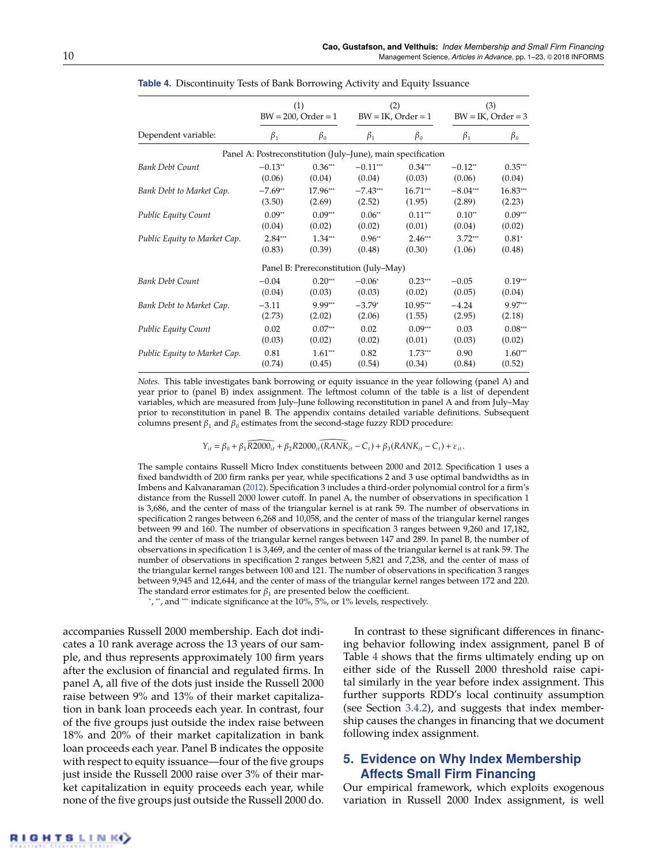|                              |           | (1)<br>$BW = 200$ , $Order = 1$ |                                       | (2)<br>$BW = IK$ , Order = 1                                |            | (3)<br>$BW = IK$ , Order = 3 |
|------------------------------|-----------|---------------------------------|---------------------------------------|-------------------------------------------------------------|------------|------------------------------|
| Dependent variable:          | $\beta_1$ | $\beta_0$                       | $\beta_1$                             | $\beta_0$                                                   | $\beta_1$  | $\beta_0$                    |
|                              |           |                                 |                                       | Panel A: Postreconstitution (July-June), main specification |            |                              |
| <b>Bank Debt Count</b>       | $-0.13**$ | $0.36***$                       | $-0.11***$                            | $0.34***$                                                   | $-0.12**$  | $0.35***$                    |
|                              | (0.06)    | (0.04)                          | (0.04)                                | (0.03)                                                      | (0.06)     | (0.04)                       |
| Bank Debt to Market Cap.     | $-7.69**$ | $17.96***$                      | $-7.43***$                            | $16.71***$                                                  | $-8.04***$ | 16.83***                     |
|                              | (3.50)    | (2.69)                          | (2.52)                                | (1.95)                                                      | (2.89)     | (2.23)                       |
| <b>Public Equity Count</b>   | $0.09**$  | $0.09***$                       | $0.06**$                              | $0.11***$                                                   | $0.10**$   | $0.09***$                    |
|                              | (0.04)    | (0.02)                          | (0.02)                                | (0.01)                                                      | (0.04)     | (0.02)                       |
| Public Equity to Market Cap. | $2.84***$ | $1.34***$                       | $0.96**$                              | $2.46***$                                                   | $3.72***$  | $0.81*$                      |
|                              | (0.83)    | (0.39)                          | (0.48)                                | (0.30)                                                      | (1.06)     | (0.48)                       |
|                              |           |                                 | Panel B: Prereconstitution (July-May) |                                                             |            |                              |
| <b>Bank Debt Count</b>       | $-0.04$   | $0.20***$                       | $-0.06*$                              | $0.23***$                                                   | $-0.05$    | $0.19***$                    |
|                              | (0.04)    | (0.03)                          | (0.03)                                | (0.02)                                                      | (0.05)     | (0.04)                       |
| Bank Debt to Market Cap.     | $-3.11$   | 9.99***                         | $-3.79*$                              | $10.95***$                                                  | $-4.24$    | 9.97***                      |
|                              | (2.73)    | (2.02)                          | (2.06)                                | (1.55)                                                      | (2.95)     | (2.18)                       |
| <b>Public Equity Count</b>   | 0.02      | $0.07***$                       | 0.02                                  | $0.09***$                                                   | 0.03       | $0.08***$                    |
|                              | (0.03)    | (0.02)                          | (0.02)                                | (0.01)                                                      | (0.03)     | (0.02)                       |
| Public Equity to Market Cap. | 0.81      | $1.61***$                       | 0.82                                  | $1.73***$                                                   | 0.90       | $1.60***$                    |
|                              | (0.74)    | (0.45)                          | (0.54)                                | (0.34)                                                      | (0.84)     | (0.52)                       |

**Table 4.** Discontinuity Tests of Bank Borrowing Activity and Equity Issuance

*Notes.* This table investigates bank borrowing or equity issuance in the year following (panel A) and year prior to (panel B) index assignment. The leftmost column of the table is a list of dependent variables, which are measured from July–June following reconstitution in panel A and from July–May prior to reconstitution in panel B. The appendix contains detailed variable definitions. Subsequent columns present  $β_1$  and  $β_0$  estimates from the second-stage fuzzy RDD procedure:

 $Y_{it} = \beta_0 + \beta_1 \overline{R2000_{it}} + \beta_2 R2000_{it} \overline{(RANK_{it} - C_t)} + \beta_3 (RANK_{it} - C_t) + \varepsilon_{it}$ .

The sample contains Russell Micro Index constituents between 2000 and 2012. Specification 1 uses a fixed bandwidth of 200 firm ranks per year, while specifications 2 and 3 use optimal bandwidths as in Imbens and Kalvanaraman (2012). Specification 3 includes a third-order polynomial control for a firm's distance from the Russell 2000 lower cutoff. In panel A, the number of observations in specification 1 is 3,686, and the center of mass of the triangular kernel is at rank 59. The number of observations in specification 2 ranges between 6,268 and 10,058, and the center of mass of the triangular kernel ranges between 99 and 160. The number of observations in specification 3 ranges between 9,260 and 17,182, and the center of mass of the triangular kernel ranges between 147 and 289. In panel B, the number of observations in specification 1 is 3,469, and the center of mass of the triangular kernel is at rank 59. The number of observations in specification 2 ranges between 5,821 and 7,238, and the center of mass of the triangular kernel ranges between 100 and 121. The number of observations in specification 3 ranges between 9,945 and 12,644, and the center of mass of the triangular kernel ranges between 172 and 220. The standard error estimates for  $\beta_1$  are presented below the coefficient.

∗ , ∗∗, and ∗∗∗ indicate significance at the 10%, 5%, or 1% levels, respectively.

accompanies Russell 2000 membership. Each dot indicates a 10 rank average across the 13 years of our sample, and thus represents approximately 100 firm years after the exclusion of financial and regulated firms. In panel A, all five of the dots just inside the Russell 2000 raise between 9% and 13% of their market capitalization in bank loan proceeds each year. In contrast, four of the five groups just outside the index raise between 18% and 20% of their market capitalization in bank loan proceeds each year. Panel B indicates the opposite with respect to equity issuance—four of the five groups just inside the Russell 2000 raise over 3% of their market capitalization in equity proceeds each year, while none of the five groups just outside the Russell 2000 do.

In contrast to these significant differences in financing behavior following index assignment, panel B of Table 4 shows that the firms ultimately ending up on either side of the Russell 2000 threshold raise capital similarly in the year before index assignment. This further supports RDD's local continuity assumption (see Section 3.4.2), and suggests that index membership causes the changes in financing that we document following index assignment.

## **5. Evidence on Why Index Membership Affects Small Firm Financing**

Our empirical framework, which exploits exogenous variation in Russell 2000 Index assignment, is well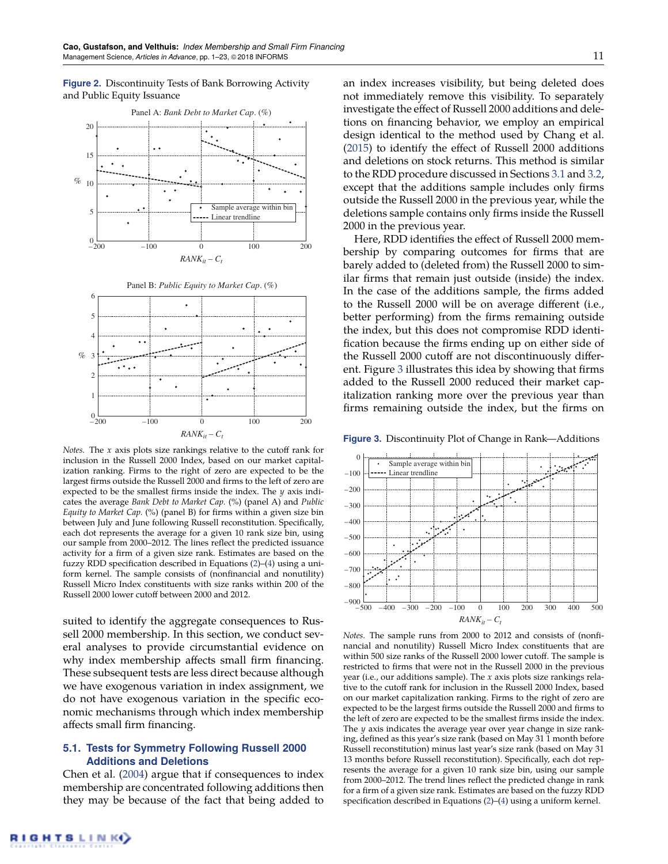**Figure 2.** Discontinuity Tests of Bank Borrowing Activity and Public Equity Issuance



*Notes.* The *x* axis plots size rankings relative to the cutoff rank for inclusion in the Russell 2000 Index, based on our market capitalization ranking. Firms to the right of zero are expected to be the largest firms outside the Russell 2000 and firms to the left of zero are expected to be the smallest firms inside the index. The *y* axis indicates the average *Bank Debt to Market Cap.* (%) (panel A) and *Public Equity to Market Cap.* (%) (panel B) for firms within a given size bin between July and June following Russell reconstitution. Specifically, each dot represents the average for a given 10 rank size bin, using our sample from 2000–2012. The lines reflect the predicted issuance activity for a firm of a given size rank. Estimates are based on the fuzzy RDD specification described in Equations (2)–(4) using a uniform kernel. The sample consists of (nonfinancial and nonutility) Russell Micro Index constituents with size ranks within 200 of the Russell 2000 lower cutoff between 2000 and 2012.

suited to identify the aggregate consequences to Russell 2000 membership. In this section, we conduct several analyses to provide circumstantial evidence on why index membership affects small firm financing. These subsequent tests are less direct because although we have exogenous variation in index assignment, we do not have exogenous variation in the specific economic mechanisms through which index membership affects small firm financing.

### **5.1. Tests for Symmetry Following Russell 2000 Additions and Deletions**

Chen et al. (2004) argue that if consequences to index membership are concentrated following additions then they may be because of the fact that being added to an index increases visibility, but being deleted does not immediately remove this visibility. To separately investigate the effect of Russell 2000 additions and deletions on financing behavior, we employ an empirical design identical to the method used by Chang et al. (2015) to identify the effect of Russell 2000 additions and deletions on stock returns. This method is similar to the RDD procedure discussed in Sections 3.1 and 3.2, except that the additions sample includes only firms outside the Russell 2000 in the previous year, while the deletions sample contains only firms inside the Russell 2000 in the previous year.

Here, RDD identifies the effect of Russell 2000 membership by comparing outcomes for firms that are barely added to (deleted from) the Russell 2000 to similar firms that remain just outside (inside) the index. In the case of the additions sample, the firms added to the Russell 2000 will be on average different (i.e., better performing) from the firms remaining outside the index, but this does not compromise RDD identification because the firms ending up on either side of the Russell 2000 cutoff are not discontinuously different. Figure 3 illustrates this idea by showing that firms added to the Russell 2000 reduced their market capitalization ranking more over the previous year than firms remaining outside the index, but the firms on

**Figure 3.** Discontinuity Plot of Change in Rank—Additions



*Notes.* The sample runs from 2000 to 2012 and consists of (nonfinancial and nonutility) Russell Micro Index constituents that are within 500 size ranks of the Russell 2000 lower cutoff. The sample is restricted to firms that were not in the Russell 2000 in the previous year (i.e., our additions sample). The *x* axis plots size rankings relative to the cutoff rank for inclusion in the Russell 2000 Index, based on our market capitalization ranking. Firms to the right of zero are expected to be the largest firms outside the Russell 2000 and firms to the left of zero are expected to be the smallest firms inside the index. The *y* axis indicates the average year over year change in size ranking, defined as this year's size rank (based on May 31 1 month before Russell reconstitution) minus last year's size rank (based on May 31 13 months before Russell reconstitution). Specifically, each dot represents the average for a given 10 rank size bin, using our sample from 2000–2012. The trend lines reflect the predicted change in rank for a firm of a given size rank. Estimates are based on the fuzzy RDD specification described in Equations (2)–(4) using a uniform kernel.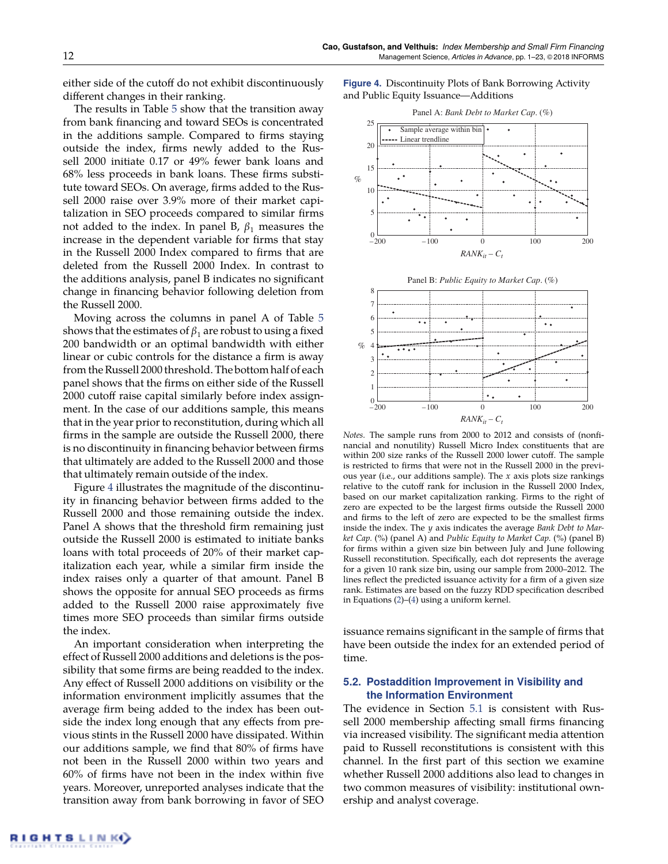either side of the cutoff do not exhibit discontinuously different changes in their ranking.

The results in Table 5 show that the transition away from bank financing and toward SEOs is concentrated in the additions sample. Compared to firms staying outside the index, firms newly added to the Russell 2000 initiate 0.17 or 49% fewer bank loans and 68% less proceeds in bank loans. These firms substitute toward SEOs. On average, firms added to the Russell 2000 raise over 3.9% more of their market capitalization in SEO proceeds compared to similar firms not added to the index. In panel B,  $\beta_1$  measures the increase in the dependent variable for firms that stay in the Russell 2000 Index compared to firms that are deleted from the Russell 2000 Index. In contrast to the additions analysis, panel B indicates no significant change in financing behavior following deletion from the Russell 2000.

Moving across the columns in panel A of Table 5 shows that the estimates of  $\beta_1$  are robust to using a fixed 200 bandwidth or an optimal bandwidth with either linear or cubic controls for the distance a firm is away from the Russell 2000 threshold. The bottom half of each panel shows that the firms on either side of the Russell 2000 cutoff raise capital similarly before index assignment. In the case of our additions sample, this means that in the year prior to reconstitution, during which all firms in the sample are outside the Russell 2000, there is no discontinuity in financing behavior between firms that ultimately are added to the Russell 2000 and those that ultimately remain outside of the index.

Figure 4 illustrates the magnitude of the discontinuity in financing behavior between firms added to the Russell 2000 and those remaining outside the index. Panel A shows that the threshold firm remaining just outside the Russell 2000 is estimated to initiate banks loans with total proceeds of 20% of their market capitalization each year, while a similar firm inside the index raises only a quarter of that amount. Panel B shows the opposite for annual SEO proceeds as firms added to the Russell 2000 raise approximately five times more SEO proceeds than similar firms outside the index.

An important consideration when interpreting the effect of Russell 2000 additions and deletions is the possibility that some firms are being readded to the index. Any effect of Russell 2000 additions on visibility or the information environment implicitly assumes that the average firm being added to the index has been outside the index long enough that any effects from previous stints in the Russell 2000 have dissipated. Within our additions sample, we find that 80% of firms have not been in the Russell 2000 within two years and 60% of firms have not been in the index within five years. Moreover, unreported analyses indicate that the transition away from bank borrowing in favor of SEO **Figure 4.** Discontinuity Plots of Bank Borrowing Activity and Public Equity Issuance—Additions



*Notes.* The sample runs from 2000 to 2012 and consists of (nonfinancial and nonutility) Russell Micro Index constituents that are within 200 size ranks of the Russell 2000 lower cutoff. The sample is restricted to firms that were not in the Russell 2000 in the previous year (i.e., our additions sample). The *x* axis plots size rankings relative to the cutoff rank for inclusion in the Russell 2000 Index, based on our market capitalization ranking. Firms to the right of zero are expected to be the largest firms outside the Russell 2000 and firms to the left of zero are expected to be the smallest firms inside the index. The *y* axis indicates the average *Bank Debt to Market Cap.* (%) (panel A) and *Public Equity to Market Cap.* (%) (panel B) for firms within a given size bin between July and June following Russell reconstitution. Specifically, each dot represents the average for a given 10 rank size bin, using our sample from 2000–2012. The lines reflect the predicted issuance activity for a firm of a given size rank. Estimates are based on the fuzzy RDD specification described in Equations (2)–(4) using a uniform kernel.

issuance remains significant in the sample of firms that have been outside the index for an extended period of time.

## **5.2. Postaddition Improvement in Visibility and the Information Environment**

The evidence in Section 5.1 is consistent with Russell 2000 membership affecting small firms financing via increased visibility. The significant media attention paid to Russell reconstitutions is consistent with this channel. In the first part of this section we examine whether Russell 2000 additions also lead to changes in two common measures of visibility: institutional ownership and analyst coverage.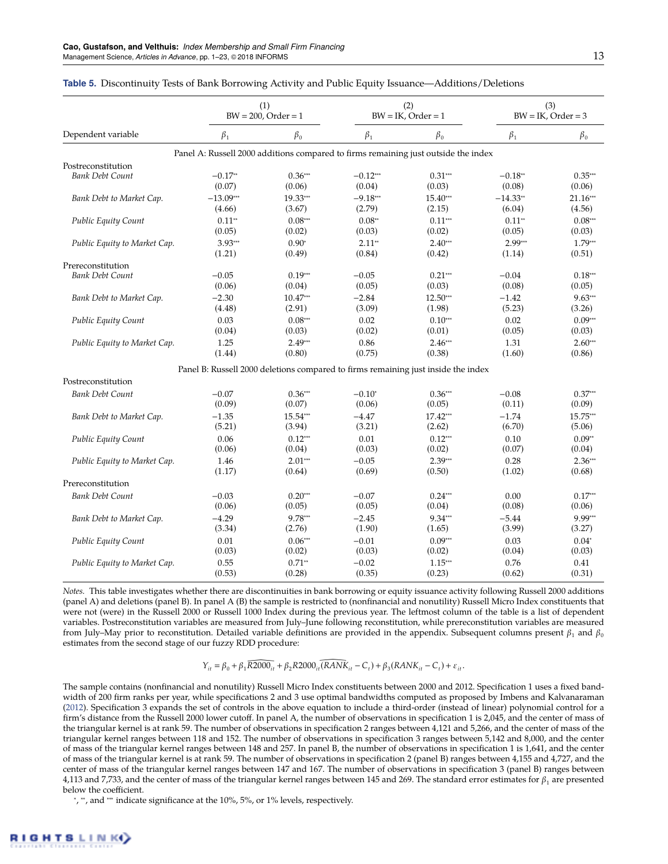|                              |             | (1)<br>$BW = 200$ , $Order = 1$ |                                                                                    | (2)<br>$BW = IK$ , Order = 1 | (3)<br>$BW = IK$ , Order = 3 |           |
|------------------------------|-------------|---------------------------------|------------------------------------------------------------------------------------|------------------------------|------------------------------|-----------|
| Dependent variable           | $\beta_1$   | $\beta_0$                       | $\beta_1$                                                                          | $\beta_0$                    | $\beta_1$                    | $\beta_0$ |
|                              |             |                                 | Panel A: Russell 2000 additions compared to firms remaining just outside the index |                              |                              |           |
| Postreconstitution           |             |                                 |                                                                                    |                              |                              |           |
| <b>Bank Debt Count</b>       | $-0.17**$   | $0.36***$                       | $-0.12***$                                                                         | $0.31***$                    | $-0.18**$                    | $0.35***$ |
|                              | (0.07)      | (0.06)                          | (0.04)                                                                             | (0.03)                       | (0.08)                       | (0.06)    |
| Bank Debt to Market Cap.     | $-13.09***$ | 19.33***                        | $-9.18***$                                                                         | $15.40***$                   | $-14.33**$                   | 21.16***  |
|                              | (4.66)      | (3.67)                          | (2.79)                                                                             | (2.15)                       | (6.04)                       | (4.56)    |
| <b>Public Equity Count</b>   | $0.11**$    | $0.08***$                       | $0.08**$                                                                           | $0.11***$                    | $0.11**$                     | $0.08***$ |
|                              | (0.05)      | (0.02)                          | (0.03)                                                                             | (0.02)                       | (0.05)                       | (0.03)    |
| Public Equity to Market Cap. | $3.93***$   | $0.90*$                         | $2.11**$                                                                           | $2.40***$                    | $2.99***$                    | $1.79***$ |
|                              | (1.21)      | (0.49)                          | (0.84)                                                                             | (0.42)                       | (1.14)                       | (0.51)    |
| Prereconstitution            |             |                                 |                                                                                    |                              |                              |           |
| <b>Bank Debt Count</b>       | $-0.05$     | $0.19***$                       | $-0.05$                                                                            | $0.21***$                    | $-0.04$                      | $0.18***$ |
|                              | (0.06)      | (0.04)                          | (0.05)                                                                             | (0.03)                       | (0.08)                       | (0.05)    |
| Bank Debt to Market Cap.     | $-2.30$     | $10.47***$                      | $-2.84$                                                                            | $12.50***$                   | $-1.42$                      | $9.63***$ |
|                              | (4.48)      | (2.91)                          | (3.09)                                                                             | (1.98)                       | (5.23)                       | (3.26)    |
| Public Equity Count          | 0.03        | $0.08***$                       | 0.02                                                                               | $0.10***$                    | 0.02                         | $0.09***$ |
|                              | (0.04)      | (0.03)                          | (0.02)                                                                             | (0.01)                       | (0.05)                       | (0.03)    |
| Public Equity to Market Cap. | 1.25        | $2.49***$                       | 0.86                                                                               | $2.46***$                    | 1.31                         | $2.60***$ |
|                              | (1.44)      | (0.80)                          | (0.75)                                                                             | (0.38)                       | (1.60)                       | (0.86)    |
|                              |             |                                 | Panel B: Russell 2000 deletions compared to firms remaining just inside the index  |                              |                              |           |
| Postreconstitution           |             |                                 |                                                                                    |                              |                              |           |
| <b>Bank Debt Count</b>       | $-0.07$     | $0.36***$                       | $-0.10*$                                                                           | $0.36***$                    | $-0.08$                      | $0.37***$ |
|                              | (0.09)      | (0.07)                          | (0.06)                                                                             | (0.05)                       | (0.11)                       | (0.09)    |
| Bank Debt to Market Cap.     | $-1.35$     | 15.54***                        | $-4.47$                                                                            | 17.42***                     | $-1.74$                      | 15.75***  |
|                              | (5.21)      | (3.94)                          | (3.21)                                                                             | (2.62)                       | (6.70)                       | (5.06)    |
| Public Equity Count          | 0.06        | $0.12***$                       | 0.01                                                                               | $0.12***$                    | 0.10                         | $0.09**$  |
|                              | (0.06)      | (0.04)                          | (0.03)                                                                             | (0.02)                       | (0.07)                       | (0.04)    |
| Public Equity to Market Cap. | 1.46        | $2.01***$                       | $-0.05$                                                                            | $2.39***$                    | 0.28                         | $2.36***$ |
|                              | (1.17)      | (0.64)                          | (0.69)                                                                             | (0.50)                       | (1.02)                       | (0.68)    |
| Prereconstitution            |             |                                 |                                                                                    |                              |                              |           |
| <b>Bank Debt Count</b>       | $-0.03$     | $0.20***$                       | $-0.07$                                                                            | $0.24***$                    | 0.00                         | $0.17***$ |
|                              | (0.06)      | (0.05)                          | (0.05)                                                                             | (0.04)                       | (0.08)                       | (0.06)    |
| Bank Debt to Market Cap.     | $-4.29$     | 9.78***                         | $-2.45$                                                                            | 9.34***                      | $-5.44$                      | 9.99***   |
|                              | (3.34)      | (2.76)                          | (1.90)                                                                             | (1.65)                       | (3.99)                       | (3.27)    |
| <b>Public Equity Count</b>   | 0.01        | $0.06***$                       | $-0.01$                                                                            | $0.09***$                    | 0.03                         | $0.04*$   |
|                              | (0.03)      | (0.02)                          | (0.03)                                                                             | (0.02)                       | (0.04)                       | (0.03)    |
| Public Equity to Market Cap. | 0.55        | $0.71**$                        | $-0.02$                                                                            | $1.15***$                    | 0.76                         | 0.41      |
|                              | (0.53)      | (0.28)                          | (0.35)                                                                             | (0.23)                       | (0.62)                       | (0.31)    |

#### **Table 5.** Discontinuity Tests of Bank Borrowing Activity and Public Equity Issuance—Additions/Deletions

*Notes.* This table investigates whether there are discontinuities in bank borrowing or equity issuance activity following Russell 2000 additions (panel A) and deletions (panel B). In panel A (B) the sample is restricted to (nonfinancial and nonutility) Russell Micro Index constituents that were not (were) in the Russell 2000 or Russell 1000 Index during the previous year. The leftmost column of the table is a list of dependent variables. Postreconstitution variables are measured from July–June following reconstitution, while prereconstitution variables are measured from July–May prior to reconstitution. Detailed variable definitions are provided in the appendix. Subsequent columns present  $β_1$  and  $β_0$ estimates from the second stage of our fuzzy RDD procedure:

 $Y_{it} = \beta_0 + \beta_1 \overline{R2000_{it}} + \beta_2 R2000_{it} \overline{(RANK_{it} - C_t)} + \beta_3 (RANK_{it} - C_t) + \varepsilon_{it}$ .

The sample contains (nonfinancial and nonutility) Russell Micro Index constituents between 2000 and 2012. Specification 1 uses a fixed bandwidth of 200 firm ranks per year, while specifications 2 and 3 use optimal bandwidths computed as proposed by Imbens and Kalvanaraman (2012). Specification 3 expands the set of controls in the above equation to include a third-order (instead of linear) polynomial control for a firm's distance from the Russell 2000 lower cutoff. In panel A, the number of observations in specification 1 is 2,045, and the center of mass of the triangular kernel is at rank 59. The number of observations in specification 2 ranges between 4,121 and 5,266, and the center of mass of the triangular kernel ranges between 118 and 152. The number of observations in specification 3 ranges between 5,142 and 8,000, and the center of mass of the triangular kernel ranges between 148 and 257. In panel B, the number of observations in specification 1 is 1,641, and the center of mass of the triangular kernel is at rank 59. The number of observations in specification 2 (panel B) ranges between 4,155 and 4,727, and the center of mass of the triangular kernel ranges between 147 and 167. The number of observations in specification 3 (panel B) ranges between 4,113 and 7,733, and the center of mass of the triangular kernel ranges between 145 and 269. The standard error estimates for  $\beta_1$  are presented below the coefficient.

∗ , ∗∗, and ∗∗∗ indicate significance at the 10%, 5%, or 1% levels, respectively.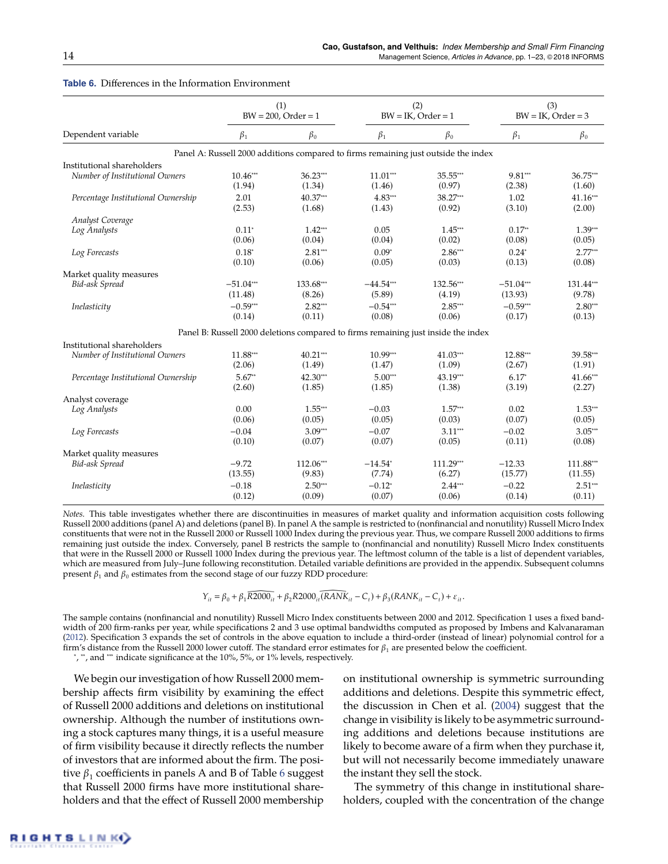|                                    |             | (1)<br>$BW = 200$ , $Order = 1$ |                                                                                    | (2)<br>$BW = IK$ , $Order = 1$ |             | (3)<br>$BW = IK$ , Order = 3 |  |
|------------------------------------|-------------|---------------------------------|------------------------------------------------------------------------------------|--------------------------------|-------------|------------------------------|--|
| Dependent variable                 | $\beta_1$   | $\beta_0$                       | $\beta_1$                                                                          | $\beta_0$                      | $\beta_1$   | $\beta_0$                    |  |
|                                    |             |                                 | Panel A: Russell 2000 additions compared to firms remaining just outside the index |                                |             |                              |  |
| Institutional shareholders         |             |                                 |                                                                                    |                                |             |                              |  |
| Number of Institutional Owners     | $10.46***$  | $36.23***$                      | $11.01***$                                                                         | 35.55***                       | $9.81***$   | 36.75***                     |  |
|                                    | (1.94)      | (1.34)                          | (1.46)                                                                             | (0.97)                         | (2.38)      | (1.60)                       |  |
| Percentage Institutional Ownership | 2.01        | 40.37***                        | $4.83***$                                                                          | 38.27***                       | 1.02        | $41.16***$                   |  |
|                                    | (2.53)      | (1.68)                          | (1.43)                                                                             | (0.92)                         | (3.10)      | (2.00)                       |  |
| Analyst Coverage                   |             |                                 |                                                                                    |                                |             |                              |  |
| Log Analysts                       | $0.11*$     | $1.42***$                       | 0.05                                                                               | $1.45***$                      | $0.17**$    | $1.39***$                    |  |
|                                    | (0.06)      | (0.04)                          | (0.04)                                                                             | (0.02)                         | (0.08)      | (0.05)                       |  |
| Log Forecasts                      | $0.18*$     | $2.81***$                       | $0.09*$                                                                            | $2.86***$                      | $0.24*$     | $2.77***$                    |  |
|                                    | (0.10)      | (0.06)                          | (0.05)                                                                             | (0.03)                         | (0.13)      | (0.08)                       |  |
| Market quality measures            |             |                                 |                                                                                    |                                |             |                              |  |
| Bid-ask Spread                     | $-51.04***$ | 133.68***                       | $-44.54***$                                                                        | 132.56***                      | $-51.04***$ | 131.44***                    |  |
|                                    | (11.48)     | (8.26)                          | (5.89)                                                                             | (4.19)                         | (13.93)     | (9.78)                       |  |
| Inelasticity                       | $-0.59***$  | $2.82***$                       | $-0.54***$                                                                         | $2.85***$                      | $-0.59***$  | $2.80***$                    |  |
|                                    | (0.14)      | (0.11)                          | (0.08)                                                                             | (0.06)                         | (0.17)      | (0.13)                       |  |
|                                    |             |                                 | Panel B: Russell 2000 deletions compared to firms remaining just inside the index  |                                |             |                              |  |
| Institutional shareholders         |             |                                 |                                                                                    |                                |             |                              |  |
| Number of Institutional Owners     | $11.88***$  | $40.21***$                      | 10.99***                                                                           | $41.03***$                     | 12.88***    | 39.58***                     |  |
|                                    | (2.06)      | (1.49)                          | (1.47)                                                                             | (1.09)                         | (2.67)      | (1.91)                       |  |
| Percentage Institutional Ownership | $5.67**$    | $42.30***$                      | $5.00***$                                                                          | 43.19***                       | $6.17*$     | $41.66***$                   |  |
|                                    | (2.60)      | (1.85)                          | (1.85)                                                                             | (1.38)                         | (3.19)      | (2.27)                       |  |
| Analyst coverage                   |             |                                 |                                                                                    |                                |             |                              |  |
| Log Analysts                       | 0.00        | $1.55***$                       | $-0.03$                                                                            | $1.57***$                      | 0.02        | $1.53***$                    |  |
|                                    | (0.06)      | (0.05)                          | (0.05)                                                                             | (0.03)                         | (0.07)      | (0.05)                       |  |
| Log Forecasts                      | $-0.04$     | $3.09***$                       | $-0.07$                                                                            | $3.11***$                      | $-0.02$     | $3.05***$                    |  |
|                                    | (0.10)      | (0.07)                          | (0.07)                                                                             | (0.05)                         | (0.11)      | (0.08)                       |  |
| Market quality measures            |             |                                 |                                                                                    |                                |             |                              |  |
| Bid-ask Spread                     | $-9.72$     | $112.06***$                     | $-14.54*$                                                                          | 111.29***                      | $-12.33$    | 111.88***                    |  |
|                                    | (13.55)     | (9.83)                          | (7.74)                                                                             | (6.27)                         | (15.77)     | (11.55)                      |  |
| Inelasticity                       | $-0.18$     | $2.50***$                       | $-0.12*$                                                                           | $2.44***$                      | $-0.22$     | $2.51***$                    |  |
|                                    | (0.12)      | (0.09)                          | (0.07)                                                                             | (0.06)                         | (0.14)      | (0.11)                       |  |

#### **Table 6.** Differences in the Information Environment

*Notes.* This table investigates whether there are discontinuities in measures of market quality and information acquisition costs following Russell 2000 additions (panel A) and deletions (panel B). In panel A the sample is restricted to (nonfinancial and nonutility) Russell Micro Index constituents that were not in the Russell 2000 or Russell 1000 Index during the previous year. Thus, we compare Russell 2000 additions to firms remaining just outside the index. Conversely, panel B restricts the sample to (nonfinancial and nonutility) Russell Micro Index constituents that were in the Russell 2000 or Russell 1000 Index during the previous year. The leftmost column of the table is a list of dependent variables, which are measured from July–June following reconstitution. Detailed variable definitions are provided in the appendix. Subsequent columns present  $β_1$  and  $β_0$  estimates from the second stage of our fuzzy RDD procedure:

 $Y_{it} = \beta_0 + \beta_1 \overline{R2000_{it}} + \beta_2 R2000_{it} \overline{(RANK_{it} - C_t)} + \beta_3 (RANK_{it} - C_t) + \varepsilon_{it}$ .

The sample contains (nonfinancial and nonutility) Russell Micro Index constituents between 2000 and 2012. Specification 1 uses a fixed bandwidth of 200 firm-ranks per year, while specifications 2 and 3 use optimal bandwidths computed as proposed by Imbens and Kalvanaraman (2012). Specification 3 expands the set of controls in the above equation to include a third-order (instead of linear) polynomial control for a firm's distance from the Russell 2000 lower cutoff. The standard error estimates for  $\beta_1$  are presented below the coefficient.

∗ , ∗∗, and ∗∗∗ indicate significance at the 10%, 5%, or 1% levels, respectively.

We begin our investigation of how Russell 2000 membership affects firm visibility by examining the effect of Russell 2000 additions and deletions on institutional ownership. Although the number of institutions owning a stock captures many things, it is a useful measure of firm visibility because it directly reflects the number of investors that are informed about the firm. The positive  $\beta_1$  coefficients in panels A and B of Table 6 suggest that Russell 2000 firms have more institutional shareholders and that the effect of Russell 2000 membership on institutional ownership is symmetric surrounding additions and deletions. Despite this symmetric effect, the discussion in Chen et al. (2004) suggest that the change in visibility is likely to be asymmetric surrounding additions and deletions because institutions are likely to become aware of a firm when they purchase it, but will not necessarily become immediately unaware the instant they sell the stock.

The symmetry of this change in institutional shareholders, coupled with the concentration of the change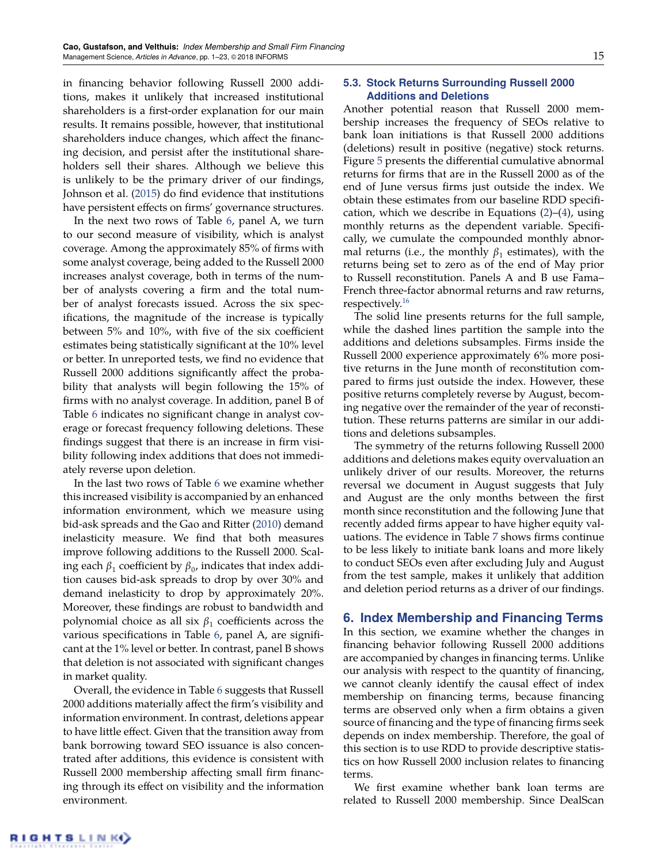in financing behavior following Russell 2000 additions, makes it unlikely that increased institutional shareholders is a first-order explanation for our main results. It remains possible, however, that institutional shareholders induce changes, which affect the financing decision, and persist after the institutional shareholders sell their shares. Although we believe this is unlikely to be the primary driver of our findings, Johnson et al. (2015) do find evidence that institutions have persistent effects on firms' governance structures.

In the next two rows of Table 6, panel A, we turn to our second measure of visibility, which is analyst coverage. Among the approximately 85% of firms with some analyst coverage, being added to the Russell 2000 increases analyst coverage, both in terms of the number of analysts covering a firm and the total number of analyst forecasts issued. Across the six specifications, the magnitude of the increase is typically between 5% and 10%, with five of the six coefficient estimates being statistically significant at the 10% level or better. In unreported tests, we find no evidence that Russell 2000 additions significantly affect the probability that analysts will begin following the 15% of firms with no analyst coverage. In addition, panel B of Table 6 indicates no significant change in analyst coverage or forecast frequency following deletions. These findings suggest that there is an increase in firm visibility following index additions that does not immediately reverse upon deletion.

In the last two rows of Table 6 we examine whether this increased visibility is accompanied by an enhanced information environment, which we measure using bid-ask spreads and the Gao and Ritter (2010) demand inelasticity measure. We find that both measures improve following additions to the Russell 2000. Scaling each  $\beta_1$  coefficient by  $\beta_0$ , indicates that index addition causes bid-ask spreads to drop by over 30% and demand inelasticity to drop by approximately 20%. Moreover, these findings are robust to bandwidth and polynomial choice as all six  $\beta_1$  coefficients across the various specifications in Table 6, panel A, are significant at the 1% level or better. In contrast, panel B shows that deletion is not associated with significant changes in market quality.

Overall, the evidence in Table 6 suggests that Russell 2000 additions materially affect the firm's visibility and information environment. In contrast, deletions appear to have little effect. Given that the transition away from bank borrowing toward SEO issuance is also concentrated after additions, this evidence is consistent with Russell 2000 membership affecting small firm financing through its effect on visibility and the information environment.

### **5.3. Stock Returns Surrounding Russell 2000 Additions and Deletions**

Another potential reason that Russell 2000 membership increases the frequency of SEOs relative to bank loan initiations is that Russell 2000 additions (deletions) result in positive (negative) stock returns. Figure 5 presents the differential cumulative abnormal returns for firms that are in the Russell 2000 as of the end of June versus firms just outside the index. We obtain these estimates from our baseline RDD specification, which we describe in Equations  $(2)$ – $(4)$ , using monthly returns as the dependent variable. Specifically, we cumulate the compounded monthly abnormal returns (i.e., the monthly  $\beta_1$  estimates), with the returns being set to zero as of the end of May prior to Russell reconstitution. Panels A and B use Fama– French three-factor abnormal returns and raw returns, respectively.<sup>16</sup>

The solid line presents returns for the full sample, while the dashed lines partition the sample into the additions and deletions subsamples. Firms inside the Russell 2000 experience approximately 6% more positive returns in the June month of reconstitution compared to firms just outside the index. However, these positive returns completely reverse by August, becoming negative over the remainder of the year of reconstitution. These returns patterns are similar in our additions and deletions subsamples.

The symmetry of the returns following Russell 2000 additions and deletions makes equity overvaluation an unlikely driver of our results. Moreover, the returns reversal we document in August suggests that July and August are the only months between the first month since reconstitution and the following June that recently added firms appear to have higher equity valuations. The evidence in Table 7 shows firms continue to be less likely to initiate bank loans and more likely to conduct SEOs even after excluding July and August from the test sample, makes it unlikely that addition and deletion period returns as a driver of our findings.

## **6. Index Membership and Financing Terms**

In this section, we examine whether the changes in financing behavior following Russell 2000 additions are accompanied by changes in financing terms. Unlike our analysis with respect to the quantity of financing, we cannot cleanly identify the causal effect of index membership on financing terms, because financing terms are observed only when a firm obtains a given source of financing and the type of financing firms seek depends on index membership. Therefore, the goal of this section is to use RDD to provide descriptive statistics on how Russell 2000 inclusion relates to financing terms.

We first examine whether bank loan terms are related to Russell 2000 membership. Since DealScan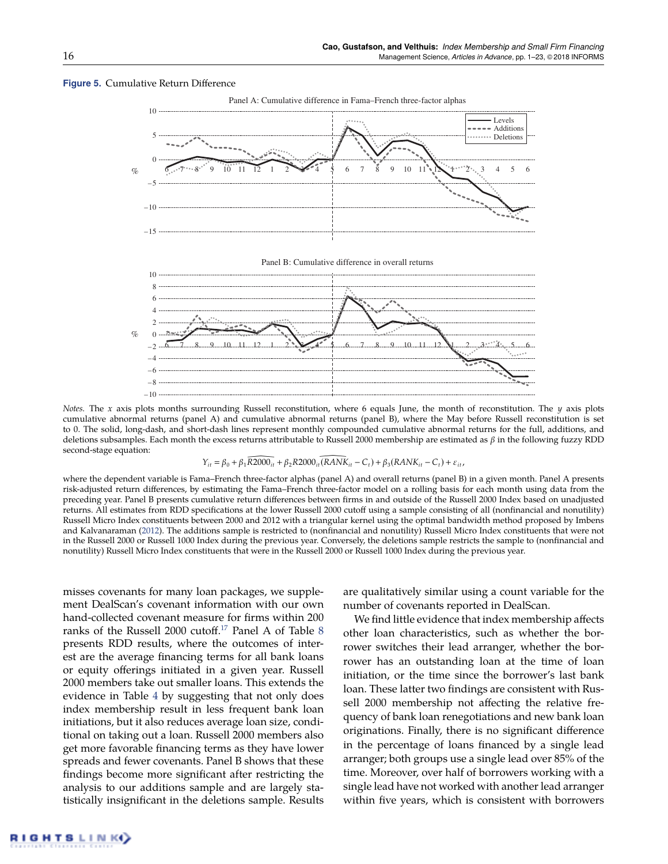

#### **Figure 5.** Cumulative Return Difference

*Notes.* The *x* axis plots months surrounding Russell reconstitution, where 6 equals June, the month of reconstitution. The *y* axis plots cumulative abnormal returns (panel A) and cumulative abnormal returns (panel B), where the May before Russell reconstitution is set to 0. The solid, long-dash, and short-dash lines represent monthly compounded cumulative abnormal returns for the full, additions, and deletions subsamples. Each month the excess returns attributable to Russell 2000 membership are estimated as  $\beta$  in the following fuzzy RDD second-stage equation:

$$
Y_{it} = \beta_0 + \beta_1 \overline{R2000_{it}} + \beta_2 R2000_{it} \overline{(RANK_{it} - C_t)} + \beta_3 (RANK_{it} - C_t) + \varepsilon_{it},
$$

where the dependent variable is Fama–French three-factor alphas (panel A) and overall returns (panel B) in a given month. Panel A presents risk-adjusted return differences, by estimating the Fama–French three-factor model on a rolling basis for each month using data from the preceding year. Panel B presents cumulative return differences between firms in and outside of the Russell 2000 Index based on unadjusted returns. All estimates from RDD specifications at the lower Russell 2000 cutoff using a sample consisting of all (nonfinancial and nonutility) Russell Micro Index constituents between 2000 and 2012 with a triangular kernel using the optimal bandwidth method proposed by Imbens and Kalvanaraman (2012). The additions sample is restricted to (nonfinancial and nonutility) Russell Micro Index constituents that were not in the Russell 2000 or Russell 1000 Index during the previous year. Conversely, the deletions sample restricts the sample to (nonfinancial and nonutility) Russell Micro Index constituents that were in the Russell 2000 or Russell 1000 Index during the previous year.

misses covenants for many loan packages, we supplement DealScan's covenant information with our own hand-collected covenant measure for firms within 200 ranks of the Russell 2000 cutoff.<sup>17</sup> Panel A of Table 8 presents RDD results, where the outcomes of interest are the average financing terms for all bank loans or equity offerings initiated in a given year. Russell 2000 members take out smaller loans. This extends the evidence in Table 4 by suggesting that not only does index membership result in less frequent bank loan initiations, but it also reduces average loan size, conditional on taking out a loan. Russell 2000 members also get more favorable financing terms as they have lower spreads and fewer covenants. Panel B shows that these findings become more significant after restricting the analysis to our additions sample and are largely statistically insignificant in the deletions sample. Results are qualitatively similar using a count variable for the number of covenants reported in DealScan.

We find little evidence that index membership affects other loan characteristics, such as whether the borrower switches their lead arranger, whether the borrower has an outstanding loan at the time of loan initiation, or the time since the borrower's last bank loan. These latter two findings are consistent with Russell 2000 membership not affecting the relative frequency of bank loan renegotiations and new bank loan originations. Finally, there is no significant difference in the percentage of loans financed by a single lead arranger; both groups use a single lead over 85% of the time. Moreover, over half of borrowers working with a single lead have not worked with another lead arranger within five years, which is consistent with borrowers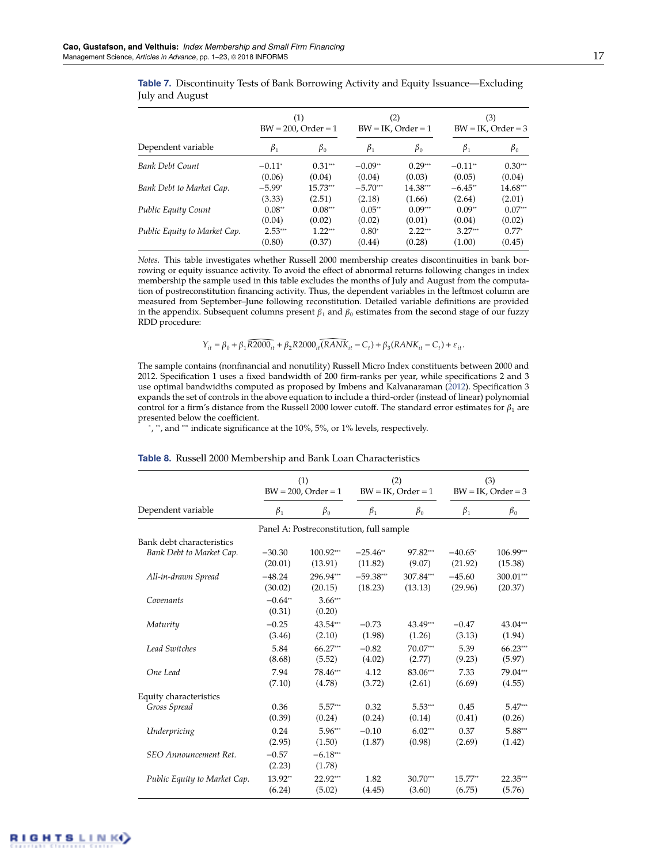|                              | (1)<br>$BW = 200$ , $Order = 1$ |           | (2)<br>$BW = IK$ , Order = 1 |           | (3)<br>$BW = IK$ , $Order = 3$ |           |
|------------------------------|---------------------------------|-----------|------------------------------|-----------|--------------------------------|-----------|
| Dependent variable           | $\beta_1$                       | $\beta_0$ | $\beta_1$                    | $\beta_0$ | $\beta_1$                      | $\beta_0$ |
| <b>Bank Debt Count</b>       | $-0.11*$                        | $0.31***$ | $-0.09**$                    | $0.29***$ | $-0.11**$                      | $0.30***$ |
|                              | (0.06)                          | (0.04)    | (0.04)                       | (0.03)    | (0.05)                         | (0.04)    |
| Bank Debt to Market Cap.     | $-5.99*$                        | 15.73***  | $-5.70***$                   | 14.38***  | $-6.45**$                      | 14.68***  |
|                              | (3.33)                          | (2.51)    | (2.18)                       | (1.66)    | (2.64)                         | (2.01)    |
| <b>Public Equity Count</b>   | $0.08**$                        | $0.08***$ | $0.05**$                     | $0.09***$ | $0.09**$                       | $0.07***$ |
|                              | (0.04)                          | (0.02)    | (0.02)                       | (0.01)    | (0.04)                         | (0.02)    |
| Public Equity to Market Cap. | $2.53***$                       | $1.22***$ | $0.80*$                      | $2.22***$ | $3.27***$                      | $0.77*$   |
|                              | (0.80)                          | (0.37)    | (0.44)                       | (0.28)    | (1.00)                         | (0.45)    |

**Table 7.** Discontinuity Tests of Bank Borrowing Activity and Equity Issuance—Excluding July and August

*Notes.* This table investigates whether Russell 2000 membership creates discontinuities in bank borrowing or equity issuance activity. To avoid the effect of abnormal returns following changes in index membership the sample used in this table excludes the months of July and August from the computation of postreconstitution financing activity. Thus, the dependent variables in the leftmost column are measured from September–June following reconstitution. Detailed variable definitions are provided in the appendix. Subsequent columns present  $\beta_1$  and  $\beta_0$  estimates from the second stage of our fuzzy RDD procedure:

 $Y_{it} = \beta_0 + \beta_1 \overline{R2000_{it}} + \beta_2 R2000_{it} \overline{(RANK_{it} - C_t)} + \beta_3 (RANK_{it} - C_t) + \varepsilon_{it}$ .

The sample contains (nonfinancial and nonutility) Russell Micro Index constituents between 2000 and 2012. Specification 1 uses a fixed bandwidth of 200 firm-ranks per year, while specifications 2 and 3 use optimal bandwidths computed as proposed by Imbens and Kalvanaraman (2012). Specification 3 expands the set of controls in the above equation to include a third-order (instead of linear) polynomial control for a firm's distance from the Russell 2000 lower cutoff. The standard error estimates for  $\beta_1$  are presented below the coefficient.

∗ , ∗∗, and ∗∗∗ indicate significance at the 10%, 5%, or 1% levels, respectively.

|                              |                     | (1)<br>$BW = 200$ , $Order = 1$ |                                          | (2)<br>$BW = IK$ , $Order = 1$ |            | (3)<br>$BW = IK$ , $Order = 3$ |
|------------------------------|---------------------|---------------------------------|------------------------------------------|--------------------------------|------------|--------------------------------|
| Dependent variable           | $\beta_1$           | $\beta_0$                       | $\beta_1$                                | $\beta_0$                      | $\beta_1$  | $\beta_0$                      |
|                              |                     |                                 | Panel A: Postreconstitution, full sample |                                |            |                                |
| Bank debt characteristics    |                     |                                 |                                          |                                |            |                                |
| Bank Debt to Market Cap.     | $-30.30$            | 100.92***                       | $-25.46**$                               | 97.82***                       | $-40.65^*$ | 106.99***                      |
|                              | (20.01)             | (13.91)                         | (11.82)                                  | (9.07)                         | (21.92)    | (15.38)                        |
| All-in-drawn Spread          | $-48.24$            | 296.94***                       | $-59.38***$                              | 307.84***                      | $-45.60$   | 300.01***                      |
|                              | (30.02)             | (20.15)                         | (18.23)                                  | (13.13)                        | (29.96)    | (20.37)                        |
| Covenants                    | $-0.64**$<br>(0.31) | $3.66***$<br>(0.20)             |                                          |                                |            |                                |
| Maturity                     | $-0.25$             | 43.54***                        | $-0.73$                                  | $43.49***$                     | $-0.47$    | 43.04***                       |
|                              | (3.46)              | (2.10)                          | (1.98)                                   | (1.26)                         | (3.13)     | (1.94)                         |
| <b>Lead Switches</b>         | 5.84                | 66.27***                        | $-0.82$                                  | 70.07***                       | 5.39       | 66.23***                       |
|                              | (8.68)              | (5.52)                          | (4.02)                                   | (2.77)                         | (9.23)     | (5.97)                         |
| One Lead                     | 7.94                | 78.46***                        | 4.12                                     | 83.06***                       | 7.33       | 79.04***                       |
|                              | (7.10)              | (4.78)                          | (3.72)                                   | (2.61)                         | (6.69)     | (4.55)                         |
| Equity characteristics       |                     |                                 |                                          |                                |            |                                |
| Gross Spread                 | 0.36                | $5.57***$                       | 0.32                                     | $5.53***$                      | 0.45       | $5.47***$                      |
|                              | (0.39)              | (0.24)                          | (0.24)                                   | (0.14)                         | (0.41)     | (0.26)                         |
| Underpricing                 | 0.24                | 5.96***                         | $-0.10$                                  | $6.02***$                      | 0.37       | 5.88***                        |
|                              | (2.95)              | (1.50)                          | (1.87)                                   | (0.98)                         | (2.69)     | (1.42)                         |
| SEO Announcement Ret.        | $-0.57$<br>(2.23)   | $-6.18***$<br>(1.78)            |                                          |                                |            |                                |
| Public Equity to Market Cap. | 13.92**             | 22.92***                        | 1.82                                     | $30.70***$                     | $15.77**$  | 22.35***                       |
|                              | (6.24)              | (5.02)                          | (4.45)                                   | (3.60)                         | (6.75)     | (5.76)                         |

#### **Table 8.** Russell 2000 Membership and Bank Loan Characteristics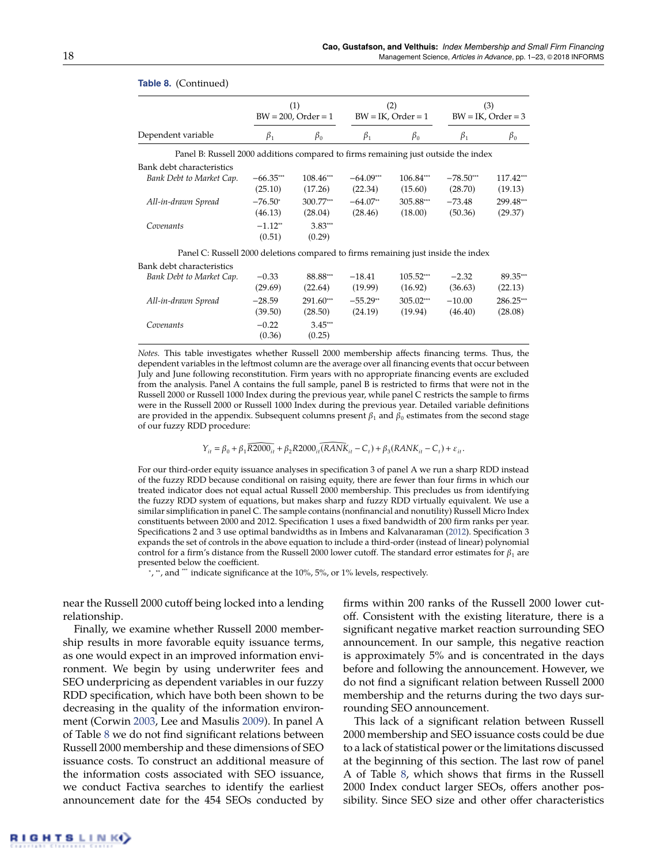#### **Table 8.** (Continued)

|                                                                                    |                        | (1)<br>$BW = 200$ , $Order = 1$ |                        | (2)<br>$BW = IK$ , Order = 1 |                        | (3)<br>$BW = IK$ , Order = 3 |
|------------------------------------------------------------------------------------|------------------------|---------------------------------|------------------------|------------------------------|------------------------|------------------------------|
| Dependent variable                                                                 | $\beta_1$              | $\beta_0$                       | $\beta_1$              | $\beta_0$                    | $\beta_1$              | $\beta_0$                    |
| Panel B: Russell 2000 additions compared to firms remaining just outside the index |                        |                                 |                        |                              |                        |                              |
| Bank debt characteristics                                                          |                        |                                 |                        |                              |                        |                              |
| Bank Debt to Market Cap.                                                           | $-66.35***$<br>(25.10) | $108.46***$<br>(17.26)          | $-64.09***$<br>(22.34) | 106.84***<br>(15.60)         | $-78.50***$<br>(28.70) | $117.42***$<br>(19.13)       |
| All-in-drawn Spread                                                                | $-76.50^*$<br>(46.13)  | $300.77***$<br>(28.04)          | $-64.07**$<br>(28.46)  | 305.88***<br>(18.00)         | $-73.48$<br>(50.36)    | 299.48***<br>(29.37)         |
| Covenants                                                                          | $-1.12**$<br>(0.51)    | $3.83***$<br>(0.29)             |                        |                              |                        |                              |
| Panel C: Russell 2000 deletions compared to firms remaining just inside the index  |                        |                                 |                        |                              |                        |                              |
| Bank debt characteristics                                                          |                        |                                 |                        |                              |                        |                              |
| Bank Debt to Market Cap.                                                           | $-0.33$<br>(29.69)     | 88.88***<br>(22.64)             | $-18.41$<br>(19.99)    | $105.52***$<br>(16.92)       | $-2.32$<br>(36.63)     | 89.35***<br>(22.13)          |
| All-in-drawn Spread                                                                | $-28.59$<br>(39.50)    | 291.60***<br>(28.50)            | $-55.29**$<br>(24.19)  | $305.02***$<br>(19.94)       | $-10.00$<br>(46.40)    | 286.25***<br>(28.08)         |
| Covenants                                                                          | $-0.22$<br>(0.36)      | $3.45***$<br>(0.25)             |                        |                              |                        |                              |

*Notes.* This table investigates whether Russell 2000 membership affects financing terms. Thus, the dependent variables in the leftmost column are the average over all financing events that occur between July and June following reconstitution. Firm years with no appropriate financing events are excluded from the analysis. Panel A contains the full sample, panel B is restricted to firms that were not in the Russell 2000 or Russell 1000 Index during the previous year, while panel C restricts the sample to firms were in the Russell 2000 or Russell 1000 Index during the previous year. Detailed variable definitions are provided in the appendix. Subsequent columns present  $\beta_1$  and  $\beta_0$  estimates from the second stage of our fuzzy RDD procedure:

## $Y_{it} = \beta_0 + \beta_1 \overline{R2000_{it}} + \beta_2 R2000_{it} \overline{(RANK_{it} - C_t)} + \beta_3 (RANK_{it} - C_t) + \varepsilon_{it}$ .

For our third-order equity issuance analyses in specification 3 of panel A we run a sharp RDD instead of the fuzzy RDD because conditional on raising equity, there are fewer than four firms in which our treated indicator does not equal actual Russell 2000 membership. This precludes us from identifying the fuzzy RDD system of equations, but makes sharp and fuzzy RDD virtually equivalent. We use a similar simplification in panel C. The sample contains (nonfinancial and nonutility) Russell Micro Index constituents between 2000 and 2012. Specification 1 uses a fixed bandwidth of 200 firm ranks per year. Specifications 2 and 3 use optimal bandwidths as in Imbens and Kalvanaraman (2012). Specification 3 expands the set of controls in the above equation to include a third-order (instead of linear) polynomial control for a firm's distance from the Russell 2000 lower cutoff. The standard error estimates for  $\beta_1$  are presented below the coefficient.

\*, \*\*, and \*\*\* indicate significance at the 10%, 5%, or 1% levels, respectively.

near the Russell 2000 cutoff being locked into a lending relationship.

Finally, we examine whether Russell 2000 membership results in more favorable equity issuance terms, as one would expect in an improved information environment. We begin by using underwriter fees and SEO underpricing as dependent variables in our fuzzy RDD specification, which have both been shown to be decreasing in the quality of the information environment (Corwin 2003, Lee and Masulis 2009). In panel A of Table 8 we do not find significant relations between Russell 2000 membership and these dimensions of SEO issuance costs. To construct an additional measure of the information costs associated with SEO issuance, we conduct Factiva searches to identify the earliest announcement date for the 454 SEOs conducted by firms within 200 ranks of the Russell 2000 lower cutoff. Consistent with the existing literature, there is a significant negative market reaction surrounding SEO announcement. In our sample, this negative reaction is approximately 5% and is concentrated in the days before and following the announcement. However, we do not find a significant relation between Russell 2000 membership and the returns during the two days surrounding SEO announcement.

This lack of a significant relation between Russell 2000 membership and SEO issuance costs could be due to a lack of statistical power or the limitations discussed at the beginning of this section. The last row of panel A of Table 8, which shows that firms in the Russell 2000 Index conduct larger SEOs, offers another possibility. Since SEO size and other offer characteristics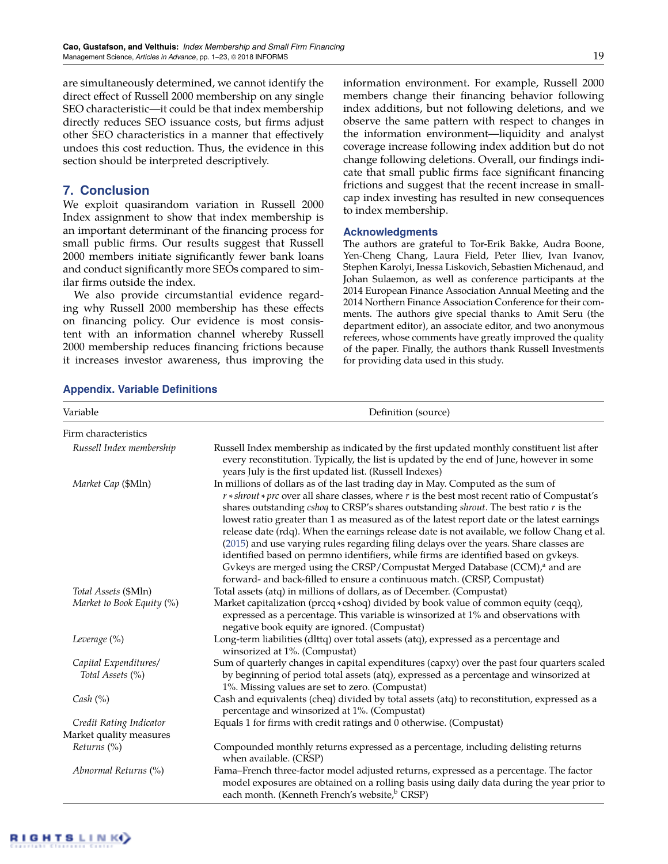are simultaneously determined, we cannot identify the direct effect of Russell 2000 membership on any single SEO characteristic—it could be that index membership directly reduces SEO issuance costs, but firms adjust other SEO characteristics in a manner that effectively undoes this cost reduction. Thus, the evidence in this section should be interpreted descriptively.

## **7. Conclusion**

We exploit quasirandom variation in Russell 2000 Index assignment to show that index membership is an important determinant of the financing process for small public firms. Our results suggest that Russell 2000 members initiate significantly fewer bank loans and conduct significantly more SEOs compared to similar firms outside the index.

We also provide circumstantial evidence regarding why Russell 2000 membership has these effects on financing policy. Our evidence is most consistent with an information channel whereby Russell 2000 membership reduces financing frictions because it increases investor awareness, thus improving the information environment. For example, Russell 2000 members change their financing behavior following index additions, but not following deletions, and we observe the same pattern with respect to changes in the information environment—liquidity and analyst coverage increase following index addition but do not change following deletions. Overall, our findings indicate that small public firms face significant financing frictions and suggest that the recent increase in smallcap index investing has resulted in new consequences to index membership.

## **Acknowledgments**

The authors are grateful to Tor-Erik Bakke, Audra Boone, Yen-Cheng Chang, Laura Field, Peter Iliev, Ivan Ivanov, Stephen Karolyi, Inessa Liskovich, Sebastien Michenaud, and Johan Sulaemon, as well as conference participants at the 2014 European Finance Association Annual Meeting and the 2014 Northern Finance Association Conference for their comments. The authors give special thanks to Amit Seru (the department editor), an associate editor, and two anonymous referees, whose comments have greatly improved the quality of the paper. Finally, the authors thank Russell Investments for providing data used in this study.

| Variable                                  | Definition (source)                                                                                                                                                                                                                                                                                                                                                                                                                                                                                                                                                                                                                                                                                                                                                                                                                           |
|-------------------------------------------|-----------------------------------------------------------------------------------------------------------------------------------------------------------------------------------------------------------------------------------------------------------------------------------------------------------------------------------------------------------------------------------------------------------------------------------------------------------------------------------------------------------------------------------------------------------------------------------------------------------------------------------------------------------------------------------------------------------------------------------------------------------------------------------------------------------------------------------------------|
| Firm characteristics                      |                                                                                                                                                                                                                                                                                                                                                                                                                                                                                                                                                                                                                                                                                                                                                                                                                                               |
| Russell Index membership                  | Russell Index membership as indicated by the first updated monthly constituent list after<br>every reconstitution. Typically, the list is updated by the end of June, however in some<br>years July is the first updated list. (Russell Indexes)                                                                                                                                                                                                                                                                                                                                                                                                                                                                                                                                                                                              |
| Market Cap (\$Mln)                        | In millions of dollars as of the last trading day in May. Computed as the sum of<br>$r *$ shrout $*$ prc over all share classes, where $r$ is the best most recent ratio of Compustat's<br>shares outstanding $cs$ hoq to CRSP's shares outstanding $shrout$ . The best ratio $r$ is the<br>lowest ratio greater than 1 as measured as of the latest report date or the latest earnings<br>release date (rdq). When the earnings release date is not available, we follow Chang et al.<br>(2015) and use varying rules regarding filing delays over the years. Share classes are<br>identified based on permno identifiers, while firms are identified based on gvkeys.<br>Gvkeys are merged using the CRSP/Compustat Merged Database (CCM), <sup>a</sup> and are<br>forward- and back-filled to ensure a continuous match. (CRSP, Compustat) |
| Total Assets (\$Mln)                      | Total assets (atq) in millions of dollars, as of December. (Compustat)                                                                                                                                                                                                                                                                                                                                                                                                                                                                                                                                                                                                                                                                                                                                                                        |
| Market to Book Equity (%)                 | Market capitalization (prccq * cshoq) divided by book value of common equity (ceqq),<br>expressed as a percentage. This variable is winsorized at 1% and observations with<br>negative book equity are ignored. (Compustat)                                                                                                                                                                                                                                                                                                                                                                                                                                                                                                                                                                                                                   |
| Leverage (%)                              | Long-term liabilities (dlttq) over total assets (atq), expressed as a percentage and<br>winsorized at 1%. (Compustat)                                                                                                                                                                                                                                                                                                                                                                                                                                                                                                                                                                                                                                                                                                                         |
| Capital Expenditures/<br>Total Assets (%) | Sum of quarterly changes in capital expenditures (capxy) over the past four quarters scaled<br>by beginning of period total assets (atq), expressed as a percentage and winsorized at<br>1%. Missing values are set to zero. (Compustat)                                                                                                                                                                                                                                                                                                                                                                                                                                                                                                                                                                                                      |
| Cash $(\% )$                              | Cash and equivalents (cheq) divided by total assets (atq) to reconstitution, expressed as a<br>percentage and winsorized at 1%. (Compustat)                                                                                                                                                                                                                                                                                                                                                                                                                                                                                                                                                                                                                                                                                                   |
| Credit Rating Indicator                   | Equals 1 for firms with credit ratings and 0 otherwise. (Compustat)                                                                                                                                                                                                                                                                                                                                                                                                                                                                                                                                                                                                                                                                                                                                                                           |
| Market quality measures                   |                                                                                                                                                                                                                                                                                                                                                                                                                                                                                                                                                                                                                                                                                                                                                                                                                                               |
| Returns $(\%)$                            | Compounded monthly returns expressed as a percentage, including delisting returns<br>when available. (CRSP)                                                                                                                                                                                                                                                                                                                                                                                                                                                                                                                                                                                                                                                                                                                                   |
| Abnormal Returns (%)                      | Fama-French three-factor model adjusted returns, expressed as a percentage. The factor<br>model exposures are obtained on a rolling basis using daily data during the year prior to<br>each month. (Kenneth French's website, <sup>b</sup> CRSP)                                                                                                                                                                                                                                                                                                                                                                                                                                                                                                                                                                                              |

### **Appendix. Variable Definitions**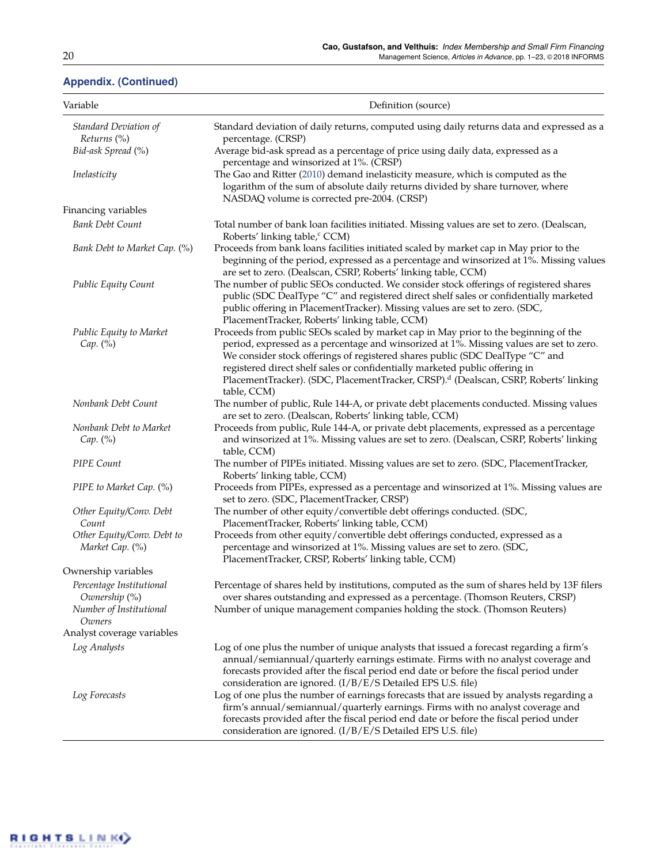## **Appendix. (Continued)**

| Variable                                                             | Definition (source)                                                                                                                                                                                                                                                                                                                                                                                                                                               |
|----------------------------------------------------------------------|-------------------------------------------------------------------------------------------------------------------------------------------------------------------------------------------------------------------------------------------------------------------------------------------------------------------------------------------------------------------------------------------------------------------------------------------------------------------|
| Standard Deviation of<br>Returns (%)                                 | Standard deviation of daily returns, computed using daily returns data and expressed as a<br>percentage. (CRSP)                                                                                                                                                                                                                                                                                                                                                   |
| Bid-ask Spread (%)                                                   | Average bid-ask spread as a percentage of price using daily data, expressed as a<br>percentage and winsorized at 1%. (CRSP)                                                                                                                                                                                                                                                                                                                                       |
| Inelasticity                                                         | The Gao and Ritter (2010) demand inelasticity measure, which is computed as the<br>logarithm of the sum of absolute daily returns divided by share turnover, where<br>NASDAQ volume is corrected pre-2004. (CRSP)                                                                                                                                                                                                                                                 |
| Financing variables                                                  |                                                                                                                                                                                                                                                                                                                                                                                                                                                                   |
| <b>Bank Debt Count</b>                                               | Total number of bank loan facilities initiated. Missing values are set to zero. (Dealscan,<br>Roberts' linking table, <sup>c</sup> CCM)                                                                                                                                                                                                                                                                                                                           |
| Bank Debt to Market Cap. (%)                                         | Proceeds from bank loans facilities initiated scaled by market cap in May prior to the<br>beginning of the period, expressed as a percentage and winsorized at 1%. Missing values<br>are set to zero. (Dealscan, CSRP, Roberts' linking table, CCM)                                                                                                                                                                                                               |
| <b>Public Equity Count</b>                                           | The number of public SEOs conducted. We consider stock offerings of registered shares<br>public (SDC DealType "C" and registered direct shelf sales or confidentially marketed<br>public offering in PlacementTracker). Missing values are set to zero. (SDC,<br>PlacementTracker, Roberts' linking table, CCM)                                                                                                                                                   |
| Public Equity to Market<br>Cap. (%)                                  | Proceeds from public SEOs scaled by market cap in May prior to the beginning of the<br>period, expressed as a percentage and winsorized at 1%. Missing values are set to zero.<br>We consider stock offerings of registered shares public (SDC DealType "C" and<br>registered direct shelf sales or confidentially marketed public offering in<br>PlacementTracker). (SDC, PlacementTracker, CRSP). <sup>d</sup> (Dealscan, CSRP, Roberts' linking<br>table, CCM) |
| Nonbank Debt Count                                                   | The number of public, Rule 144-A, or private debt placements conducted. Missing values<br>are set to zero. (Dealscan, Roberts' linking table, CCM)                                                                                                                                                                                                                                                                                                                |
| Nonbank Debt to Market<br>Cap. (%)                                   | Proceeds from public, Rule 144-A, or private debt placements, expressed as a percentage<br>and winsorized at 1%. Missing values are set to zero. (Dealscan, CSRP, Roberts' linking<br>table, CCM)                                                                                                                                                                                                                                                                 |
| PIPE Count                                                           | The number of PIPEs initiated. Missing values are set to zero. (SDC, PlacementTracker,<br>Roberts' linking table, CCM)                                                                                                                                                                                                                                                                                                                                            |
| PIPE to Market Cap. (%)                                              | Proceeds from PIPEs, expressed as a percentage and winsorized at 1%. Missing values are<br>set to zero. (SDC, PlacementTracker, CRSP)                                                                                                                                                                                                                                                                                                                             |
| Other Equity/Conv. Debt<br>Count                                     | The number of other equity/convertible debt offerings conducted. (SDC,<br>PlacementTracker, Roberts' linking table, CCM)                                                                                                                                                                                                                                                                                                                                          |
| Other Equity/Conv. Debt to<br>Market Cap. (%)                        | Proceeds from other equity/convertible debt offerings conducted, expressed as a<br>percentage and winsorized at 1%. Missing values are set to zero. (SDC,<br>PlacementTracker, CRSP, Roberts' linking table, CCM)                                                                                                                                                                                                                                                 |
| Ownership variables                                                  |                                                                                                                                                                                                                                                                                                                                                                                                                                                                   |
| Percentage Institutional<br>Ownership (%)<br>Number of Institutional | Percentage of shares held by institutions, computed as the sum of shares held by 13F filers<br>over shares outstanding and expressed as a percentage. (Thomson Reuters, CRSP)<br>Number of unique management companies holding the stock. (Thomson Reuters)                                                                                                                                                                                                       |
| Owners<br>Analyst coverage variables                                 |                                                                                                                                                                                                                                                                                                                                                                                                                                                                   |
| Log Analysts                                                         | Log of one plus the number of unique analysts that issued a forecast regarding a firm's                                                                                                                                                                                                                                                                                                                                                                           |
|                                                                      | annual/semiannual/quarterly earnings estimate. Firms with no analyst coverage and<br>forecasts provided after the fiscal period end date or before the fiscal period under<br>consideration are ignored. (I/B/E/S Detailed EPS U.S. file)                                                                                                                                                                                                                         |
| Log Forecasts                                                        | Log of one plus the number of earnings forecasts that are issued by analysts regarding a<br>firm's annual/semiannual/quarterly earnings. Firms with no analyst coverage and<br>forecasts provided after the fiscal period end date or before the fiscal period under<br>consideration are ignored. (I/B/E/S Detailed EPS U.S. file)                                                                                                                               |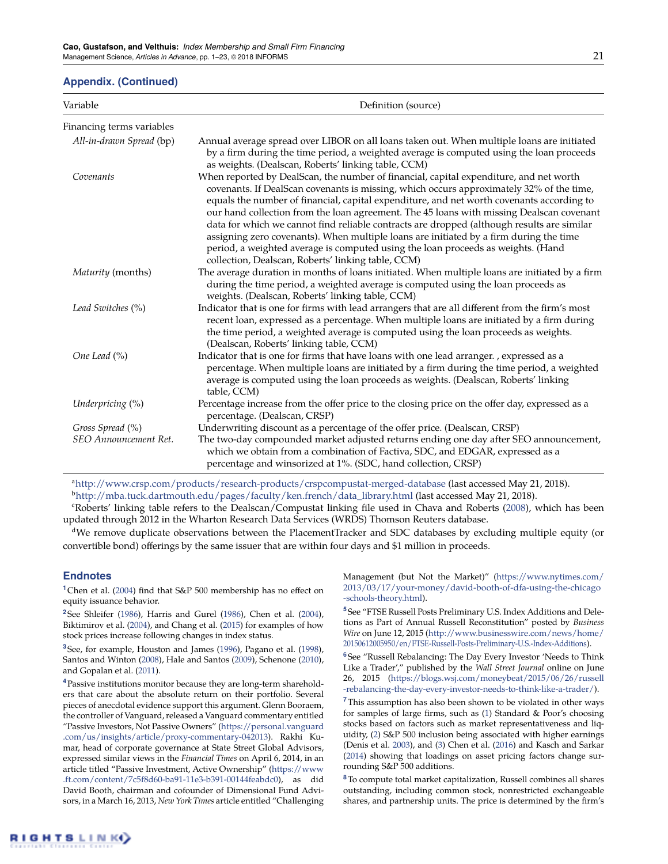#### **Appendix. (Continued)**

| Variable                  | Definition (source)                                                                                                                                                                                                                                                                                                                                                                                                                                                                                                                                                                                                                                                                                           |
|---------------------------|---------------------------------------------------------------------------------------------------------------------------------------------------------------------------------------------------------------------------------------------------------------------------------------------------------------------------------------------------------------------------------------------------------------------------------------------------------------------------------------------------------------------------------------------------------------------------------------------------------------------------------------------------------------------------------------------------------------|
| Financing terms variables |                                                                                                                                                                                                                                                                                                                                                                                                                                                                                                                                                                                                                                                                                                               |
| All-in-drawn Spread (bp)  | Annual average spread over LIBOR on all loans taken out. When multiple loans are initiated<br>by a firm during the time period, a weighted average is computed using the loan proceeds<br>as weights. (Dealscan, Roberts' linking table, CCM)                                                                                                                                                                                                                                                                                                                                                                                                                                                                 |
| Covenants                 | When reported by DealScan, the number of financial, capital expenditure, and net worth<br>covenants. If DealScan covenants is missing, which occurs approximately 32% of the time,<br>equals the number of financial, capital expenditure, and net worth covenants according to<br>our hand collection from the loan agreement. The 45 loans with missing Dealscan covenant<br>data for which we cannot find reliable contracts are dropped (although results are similar<br>assigning zero covenants). When multiple loans are initiated by a firm during the time<br>period, a weighted average is computed using the loan proceeds as weights. (Hand<br>collection, Dealscan, Roberts' linking table, CCM) |
| Maturity (months)         | The average duration in months of loans initiated. When multiple loans are initiated by a firm<br>during the time period, a weighted average is computed using the loan proceeds as<br>weights. (Dealscan, Roberts' linking table, CCM)                                                                                                                                                                                                                                                                                                                                                                                                                                                                       |
| Lead Switches (%)         | Indicator that is one for firms with lead arrangers that are all different from the firm's most<br>recent loan, expressed as a percentage. When multiple loans are initiated by a firm during<br>the time period, a weighted average is computed using the loan proceeds as weights.<br>(Dealscan, Roberts' linking table, CCM)                                                                                                                                                                                                                                                                                                                                                                               |
| One Lead (%)              | Indicator that is one for firms that have loans with one lead arranger. , expressed as a<br>percentage. When multiple loans are initiated by a firm during the time period, a weighted<br>average is computed using the loan proceeds as weights. (Dealscan, Roberts' linking<br>table, CCM)                                                                                                                                                                                                                                                                                                                                                                                                                  |
| Underpricing (%)          | Percentage increase from the offer price to the closing price on the offer day, expressed as a<br>percentage. (Dealscan, CRSP)                                                                                                                                                                                                                                                                                                                                                                                                                                                                                                                                                                                |
| Gross Spread (%)          | Underwriting discount as a percentage of the offer price. (Dealscan, CRSP)                                                                                                                                                                                                                                                                                                                                                                                                                                                                                                                                                                                                                                    |
| SEO Announcement Ret.     | The two-day compounded market adjusted returns ending one day after SEO announcement,<br>which we obtain from a combination of Factiva, SDC, and EDGAR, expressed as a<br>percentage and winsorized at 1%. (SDC, hand collection, CRSP)                                                                                                                                                                                                                                                                                                                                                                                                                                                                       |

<sup>a</sup>http://www.crsp.com/products/research-products/crspcompustat-merged-database (last accessed May 21, 2018). <sup>b</sup>http://mba.tuck.dartmouth.edu/pages/faculty/ken.french/data\_library.html (last accessed May 21, 2018).

<sup>c</sup>Roberts' linking table refers to the Dealscan/Compustat linking file used in Chava and Roberts (2008), which has been updated through 2012 in the Wharton Research Data Services (WRDS) Thomson Reuters database.

<sup>d</sup>We remove duplicate observations between the PlacementTracker and SDC databases by excluding multiple equity (or convertible bond) offerings by the same issuer that are within four days and \$1 million in proceeds.

#### **Endnotes**

**<sup>1</sup>**Chen et al. (2004) find that S&P 500 membership has no effect on equity issuance behavior.

**<sup>2</sup>** See Shleifer (1986), Harris and Gurel (1986), Chen et al. (2004), Biktimirov et al. (2004), and Chang et al. (2015) for examples of how stock prices increase following changes in index status.

**<sup>3</sup>** See, for example, Houston and James (1996), Pagano et al. (1998), Santos and Winton (2008), Hale and Santos (2009), Schenone (2010), and Gopalan et al. (2011).

**<sup>4</sup>**Passive institutions monitor because they are long-term shareholders that care about the absolute return on their portfolio. Several pieces of anecdotal evidence support this argument. Glenn Booraem, the controller of Vanguard, released a Vanguard commentary entitled "Passive Investors, Not Passive Owners" (https://personal.vanguard .com/us/insights/article/proxy-commentary-042013). Rakhi Kumar, head of corporate governance at State Street Global Advisors, expressed similar views in the *Financial Times* on April 6, 2014, in an article titled "Passive Investment, Active Ownership" (https://www .ft.com/content/7c5f8d60-ba91-11e3-b391-00144feabdc0), as did David Booth, chairman and cofounder of Dimensional Fund Advisors, in a March 16, 2013, *New York Times* article entitled "Challenging Management (but Not the Market)" (https://www.nytimes.com/ 2013/03/17/your-money/david-booth-of-dfa-using-the-chicago -schools-theory.html).

**<sup>5</sup>** See "FTSE Russell Posts Preliminary U.S. Index Additions and Deletions as Part of Annual Russell Reconstitution" posted by *Business Wire* on June 12, 2015 (http://www.businesswire.com/news/home/ 20150612005950/en/FTSE-Russell-Posts-Preliminary-U.S.-Index-Additions).

**<sup>6</sup>** See "Russell Rebalancing: The Day Every Investor 'Needs to Think Like a Trader'," published by the *Wall Street Journal* online on June 26, 2015 (https://blogs.wsj.com/moneybeat/2015/06/26/russell -rebalancing-the-day-every-investor-needs-to-think-like-a-trader/).

**<sup>7</sup>**This assumption has also been shown to be violated in other ways for samples of large firms, such as (1) Standard & Poor's choosing stocks based on factors such as market representativeness and liquidity, (2) S&P 500 inclusion being associated with higher earnings (Denis et al. 2003), and (3) Chen et al. (2016) and Kasch and Sarkar (2014) showing that loadings on asset pricing factors change surrounding S&P 500 additions.

**<sup>8</sup>**To compute total market capitalization, Russell combines all shares outstanding, including common stock, nonrestricted exchangeable shares, and partnership units. The price is determined by the firm's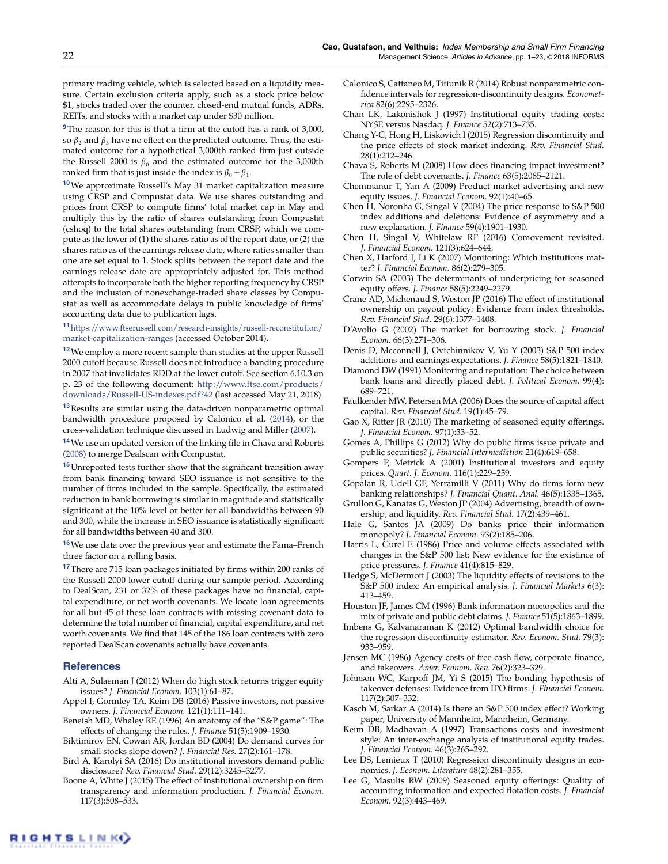primary trading vehicle, which is selected based on a liquidity measure. Certain exclusion criteria apply, such as a stock price below \$1, stocks traded over the counter, closed-end mutual funds, ADRs, REITs, and stocks with a market cap under \$30 million.

**<sup>9</sup>**The reason for this is that a firm at the cutoff has a rank of 3,000, so  $\beta_2$  and  $\beta_3$  have no effect on the predicted outcome. Thus, the estimated outcome for a hypothetical 3,000th ranked firm just outside the Russell 2000 is  $\beta_0$  and the estimated outcome for the 3,000th ranked firm that is just inside the index is  $\beta_0 + \beta_1$ .

**<sup>10</sup>**We approximate Russell's May 31 market capitalization measure using CRSP and Compustat data. We use shares outstanding and prices from CRSP to compute firms' total market cap in May and multiply this by the ratio of shares outstanding from Compustat (cshoq) to the total shares outstanding from CRSP, which we compute as the lower of (1) the shares ratio as of the report date, or (2) the shares ratio as of the earnings release date, where ratios smaller than one are set equal to 1. Stock splits between the report date and the earnings release date are appropriately adjusted for. This method attempts to incorporate both the higher reporting frequency by CRSP and the inclusion of nonexchange-traded share classes by Compustat as well as accommodate delays in public knowledge of firms' accounting data due to publication lags.

**<sup>11</sup>**https://www.ftserussell.com/research-insights/russell-reconstitution/ market-capitalization-ranges (accessed October 2014).

**<sup>12</sup>**We employ a more recent sample than studies at the upper Russell 2000 cutoff because Russell does not introduce a banding procedure in 2007 that invalidates RDD at the lower cutoff. See section 6.10.3 on p. 23 of the following document: http://www.ftse.com/products/ downloads/Russell-US-indexes.pdf?42 (last accessed May 21, 2018).

**<sup>13</sup>**Results are similar using the data-driven nonparametric optimal bandwidth procedure proposed by Calonico et al. (2014), or the cross-validation technique discussed in Ludwig and Miller (2007).

**<sup>14</sup>**We use an updated version of the linking file in Chava and Roberts (2008) to merge Dealscan with Compustat.

**<sup>15</sup>**Unreported tests further show that the significant transition away from bank financing toward SEO issuance is not sensitive to the number of firms included in the sample. Specifically, the estimated reduction in bank borrowing is similar in magnitude and statistically significant at the 10% level or better for all bandwidths between 90 and 300, while the increase in SEO issuance is statistically significant for all bandwidths between 40 and 300.

**<sup>16</sup>**We use data over the previous year and estimate the Fama–French three factor on a rolling basis.

**<sup>17</sup>**There are 715 loan packages initiated by firms within 200 ranks of the Russell 2000 lower cutoff during our sample period. According to DealScan, 231 or 32% of these packages have no financial, capital expenditure, or net worth covenants. We locate loan agreements for all but 45 of these loan contracts with missing covenant data to determine the total number of financial, capital expenditure, and net worth covenants. We find that 145 of the 186 loan contracts with zero reported DealScan covenants actually have covenants.

#### **References**

- Alti A, Sulaeman J (2012) When do high stock returns trigger equity issues? *J. Financial Econom.* 103(1):61–87.
- Appel I, Gormley TA, Keim DB (2016) Passive investors, not passive owners. *J. Financial Econom.* 121(1):111–141.
- Beneish MD, Whaley RE (1996) An anatomy of the "S&P game": The effects of changing the rules. *J. Finance* 51(5):1909–1930.
- Biktimirov EN, Cowan AR, Jordan BD (2004) Do demand curves for small stocks slope down? *J. Financial Res.* 27(2):161–178.
- Bird A, Karolyi SA (2016) Do institutional investors demand public disclosure? *Rev. Financial Stud.* 29(12):3245–3277.
- Boone A, White J (2015) The effect of institutional ownership on firm transparency and information production. *J. Financial Econom.* 117(3):508–533.
- Calonico S, Cattaneo M, Titiunik R (2014) Robust nonparametric confidence intervals for regression-discontinuity designs. *Econometrica* 82(6):2295–2326.
- Chan LK, Lakonishok J (1997) Institutional equity trading costs: NYSE versus Nasdaq. *J. Finance* 52(2):713–735.
- Chang Y-C, Hong H, Liskovich I (2015) Regression discontinuity and the price effects of stock market indexing. *Rev. Financial Stud.* 28(1):212–246.
- Chava S, Roberts M (2008) How does financing impact investment? The role of debt covenants. *J. Finance* 63(5):2085–2121.
- Chemmanur T, Yan A (2009) Product market advertising and new equity issues. *J. Financial Econom.* 92(1):40–65.
- Chen H, Noronha G, Singal V (2004) The price response to S&P 500 index additions and deletions: Evidence of asymmetry and a new explanation. *J. Finance* 59(4):1901–1930.
- Chen H, Singal V, Whitelaw RF (2016) Comovement revisited. *J. Financial Econom.* 121(3):624–644.
- Chen X, Harford J, Li K (2007) Monitoring: Which institutions matter? *J. Financial Econom.* 86(2):279–305.
- Corwin SA (2003) The determinants of underpricing for seasoned equity offers. *J. Finance* 58(5):2249–2279.
- Crane AD, Michenaud S, Weston JP (2016) The effect of institutional ownership on payout policy: Evidence from index thresholds. *Rev. Financial Stud.* 29(6):1377–1408.
- D'Avolio G (2002) The market for borrowing stock. *J. Financial Econom.* 66(3):271–306.
- Denis D, Mcconnell J, Ovtchinnikov V, Yu Y (2003) S&P 500 index additions and earnings expectations. *J. Finance* 58(5):1821–1840.
- Diamond DW (1991) Monitoring and reputation: The choice between bank loans and directly placed debt. *J. Political Econom.* 99(4): 689–721.
- Faulkender MW, Petersen MA (2006) Does the source of capital affect capital. *Rev. Financial Stud.* 19(1):45–79.
- Gao X, Ritter JR (2010) The marketing of seasoned equity offerings. *J. Financial Econom.* 97(1):33–52.
- Gomes A, Phillips G (2012) Why do public firms issue private and public securities? *J. Financial Intermediation* 21(4):619–658.
- Gompers P, Metrick A (2001) Institutional investors and equity prices. *Quart. J. Econom.* 116(1):229–259.

Gopalan R, Udell GF, Yerramilli V (2011) Why do firms form new banking relationships? *J. Financial Quant. Anal.* 46(5):1335–1365.

- Grullon G, Kanatas G, Weston JP (2004) Advertising, breadth of ownership, and liquidity. *Rev. Financial Stud.* 17(2):439–461.
- Hale G, Santos JA (2009) Do banks price their information monopoly? *J. Financial Econom.* 93(2):185–206.
- Harris L, Gurel E (1986) Price and volume effects associated with changes in the S&P 500 list: New evidence for the existince of price pressures. *J. Finance* 41(4):815–829.
- Hedge S, McDermott J (2003) The liquidity effects of revisions to the S&P 500 index: An empirical analysis. *J. Financial Markets* 6(3): 413–459.
- Houston JF, James CM (1996) Bank information monopolies and the mix of private and public debt claims. *J. Finance* 51(5):1863–1899.
- Imbens G, Kalvanaraman K (2012) Optimal bandwidth choice for the regression discontinuity estimator. *Rev. Econom. Stud.* 79(3): 933–959.
- Jensen MC (1986) Agency costs of free cash flow, corporate finance, and takeovers. *Amer. Econom. Rev.* 76(2):323–329.
- Johnson WC, Karpoff JM, Yi S (2015) The bonding hypothesis of takeover defenses: Evidence from IPO firms. *J. Financial Econom.* 117(2):307–332.
- Kasch M, Sarkar A (2014) Is there an S&P 500 index effect? Working paper, University of Mannheim, Mannheim, Germany.
- Keim DB, Madhavan A (1997) Transactions costs and investment style: An inter-exchange analysis of institutional equity trades. *J. Financial Econom.* 46(3):265–292.
- Lee DS, Lemieux T (2010) Regression discontinuity designs in economics. *J. Econom. Literature* 48(2):281–355.
- Lee G, Masulis RW (2009) Seasoned equity offerings: Quality of accounting information and expected flotation costs. *J. Financial Econom.* 92(3):443–469.